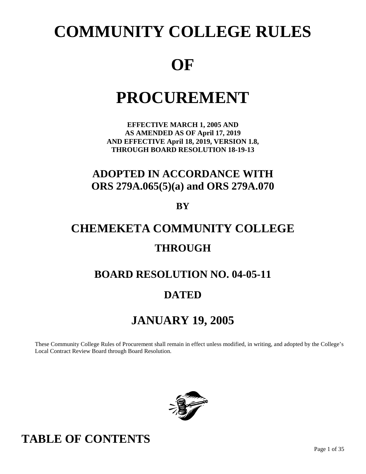# **COMMUNITY COLLEGE RULES**

# **OF**

# **PROCUREMENT**

**EFFECTIVE MARCH 1, 2005 AND AS AMENDED AS OF April 17, 2019 AND EFFECTIVE April 18, 2019, VERSION 1.8, THROUGH BOARD RESOLUTION 18-19-13**

## **ADOPTED IN ACCORDANCE WITH ORS 279A.065(5)(a) and ORS 279A.070**

**BY**

# **CHEMEKETA COMMUNITY COLLEGE THROUGH**

## **BOARD RESOLUTION NO. 04-05-11**

## **DATED**

# **JANUARY 19, 2005**

These Community College Rules of Procurement shall remain in effect unless modified, in writing, and adopted by the College's Local Contract Review Board through Board Resolution.



# **TABLE OF CONTENTS**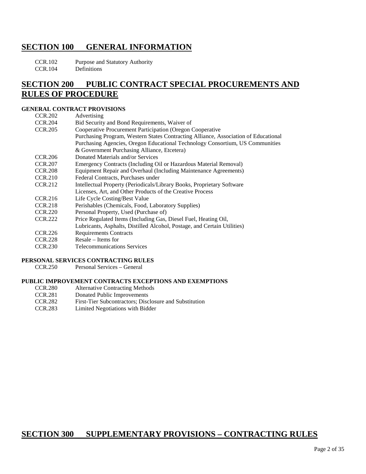### **SECTION 100 GENERAL INFORMATION**

CCR.102 Purpose and Statutory Authority

CCR.104 Definitions

### **SECTION 200 PUBLIC CONTRACT SPECIAL PROCUREMENTS AND RULES OF PROCEDURE**

### **GENERAL CONTRACT PROVISIONS**

| CCR.202        | Advertising                                                                         |
|----------------|-------------------------------------------------------------------------------------|
| <b>CCR.204</b> | Bid Security and Bond Requirements, Waiver of                                       |
| <b>CCR.205</b> | Cooperative Procurement Participation (Oregon Cooperative                           |
|                | Purchasing Program, Western States Contracting Alliance, Association of Educational |
|                | Purchasing Agencies, Oregon Educational Technology Consortium, US Communities       |
|                | & Government Purchasing Alliance, Etcetera)                                         |
| <b>CCR.206</b> | Donated Materials and/or Services                                                   |
| <b>CCR.207</b> | Emergency Contracts (Including Oil or Hazardous Material Removal)                   |
| <b>CCR.208</b> | Equipment Repair and Overhaul (Including Maintenance Agreements)                    |
| <b>CCR.210</b> | Federal Contracts, Purchases under                                                  |
| CCR.212        | Intellectual Property (Periodicals/Library Books, Proprietary Software              |
|                | Licenses, Art, and Other Products of the Creative Process                           |
| CCR.216        | Life Cycle Costing/Best Value                                                       |
| CCR.218        | Perishables (Chemicals, Food, Laboratory Supplies)                                  |
| CCR.220        | Personal Property, Used (Purchase of)                                               |
| <b>CCR.222</b> | Price Regulated Items (Including Gas, Diesel Fuel, Heating Oil,                     |
|                | Lubricants, Asphalts, Distilled Alcohol, Postage, and Certain Utilities)            |
| CCR.226        | <b>Requirements Contracts</b>                                                       |
| <b>CCR.228</b> | Resale – Items for                                                                  |

CCR.230 Telecommunications Services

### **PERSONAL SERVICES CONTRACTING RULES**

CCR.250 Personal Services – General

#### **PUBLIC IMPROVEMENT CONTRACTS EXCEPTIONS AND EXEMPTIONS**

- CCR.280 Alternative Contracting Methods
- CCR.281 Donated Public Improvements
- CCR.282 First-Tier Subcontractors; Disclosure and Substitution
- CCR.283 Limited Negotiations with Bidder

### **SECTION 300 SUPPLEMENTARY PROVISIONS – CONTRACTING RULES**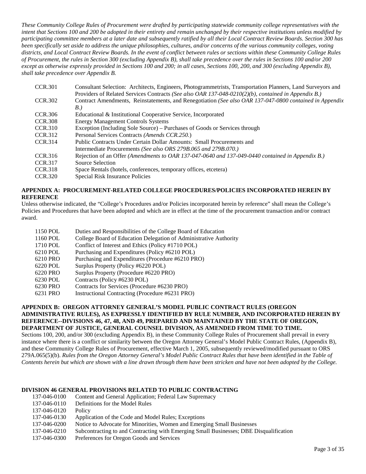*These Community College Rules of Procurement were drafted by participating statewide community college representatives with the intent that Sections 100 and 200 be adopted in their entirety and remain unchanged by their respective institutions unless modified by participating committee members at a later date and subsequently ratified by all their Local Contract Review Boards. Section 300 has been specifically set aside to address the unique philosophies, cultures, and/or concerns of the various community colleges, voting districts, and Local Contract Review Boards. In the event of conflict between rules or sections within these Community College Rules of Procurement, the rules in Section 300 (excluding Appendix B), shall take precedence over the rules in Sections 100 and/or 200 except as otherwise expressly provided in Sections 100 and 200; in all cases, Sections 100, 200, and 300 (excluding Appendix B), shall take precedence over Appendix B.*

| <b>CCR.301</b> | Consultant Selection: Architects, Engineers, Photogrammetrists, Transportation Planners, Land Surveyors and |
|----------------|-------------------------------------------------------------------------------------------------------------|
|                | Providers of Related Services Contracts (See also OAR 137-048-0210(2)(b), contained in Appendix B.)         |
| <b>CCR.302</b> | Contract Amendments, Reinstatements, and Renegotiation (See also OAR 137-047-0800 contained in Appendix     |
|                | B.                                                                                                          |
| <b>CCR.306</b> | Educational & Institutional Cooperative Service, Incorporated                                               |
| <b>CCR.308</b> | <b>Energy Management Controls Systems</b>                                                                   |
| <b>CCR.310</b> | Exception (Including Sole Source) – Purchases of Goods or Services through                                  |
| CCR.312        | Personal Services Contracts (Amends CCR.250.)                                                               |
| CCR.314        | Public Contracts Under Certain Dollar Amounts: Small Procurements and                                       |
|                | Intermediate Procurements (See also ORS 279B, 065 and 279B, 070.)                                           |
| CCR.316        | Rejection of an Offer (Amendments to OAR 137-047-0640 and 137-049-0440 contained in Appendix B.)            |
| <b>CCR.317</b> | Source Selection                                                                                            |
| <b>CCR.318</b> | Space Rentals (hotels, conferences, temporary offices, etcetera)                                            |
| <b>CCR.320</b> | Special Risk Insurance Policies                                                                             |
|                |                                                                                                             |

### **APPENDIX A: PROCUREMENT-RELATED COLLEGE PROCEDURES/POLICIES INCORPORATED HEREIN BY REFERENCE**

Unless otherwise indicated, the "College's Procedures and/or Policies incorporated herein by reference" shall mean the College's Policies and Procedures that have been adopted and which are in effect at the time of the procurement transaction and/or contract award.

| 1150 POL            | Duties and Responsibilities of the College Board of Education                                                                                                                                                                                               |
|---------------------|-------------------------------------------------------------------------------------------------------------------------------------------------------------------------------------------------------------------------------------------------------------|
| 1160 POL            | College Board of Education Delegation of Administrative Authority                                                                                                                                                                                           |
| 1710 POL            | Conflict of Interest and Ethics (Policy #1710 POL)                                                                                                                                                                                                          |
| 6210 POL            | Purchasing and Expenditures (Policy #6210 POL)                                                                                                                                                                                                              |
| 6210 PRO            | Purchasing and Expenditures (Procedure #6210 PRO)                                                                                                                                                                                                           |
| 6220 POL            | Surplus Property (Policy #6220 POL)                                                                                                                                                                                                                         |
| 6220 PRO            | Surplus Property (Procedure #6220 PRO)                                                                                                                                                                                                                      |
| 6230 POL            | Contracts (Policy #6230 POL)                                                                                                                                                                                                                                |
| 6230 PRO            | Contracts for Services (Procedure #6230 PRO)                                                                                                                                                                                                                |
| $(221)$ DD $\Omega$ | $\mathbf{L}_{\text{inter}}$ $\mathbf{L}_{\text{inter}}$ $\mathbf{L}_{\text{inter}}$ $\mathbf{L}_{\text{inter}}$ $\mathbf{L}_{\text{inter}}$ $\mathbf{L}_{\text{inter}}$ $\mathbf{L}_{\text{inter}}$ $\mathbf{L}_{\text{inter}}$ $\mathbf{L}_{\text{inter}}$ |

6231 PRO Instructional Contracting (Procedure #6231 PRO)

#### **APPENDIX B: OREGON ATTORNEY GENERAL'S MODEL PUBLIC CONTRACT RULES (OREGON ADMINISTRATIVE RULES), AS EXPRESSLY IDENTIFIED BY RULE NUMBER, AND INCORPORATED HEREIN BY REFERENCE--DIVISIONS 46, 47, 48, AND 49, PREPARED AND MAINTAINED BY THE STATE OF OREGON, DEPARTMENT OF JUSTICE, GENERAL COUNSEL DIVISION, AS AMENDED FROM TIME TO TIME.**

Sections 100, 200, and/or 300 (excluding Appendix B), in these Community College Rules of Procurement shall prevail in every instance where there is a conflict or similarity between the Oregon Attorney General's Model Public Contract Rules, (Appendix B), and these Community College Rules of Procurement, effective March 1, 2005, subsequently reviewed/modified pursuant to ORS 279A.065(5)(b). *Rules from the Oregon Attorney General's Model Public Contract Rules that have been identified in the Table of Contents herein but which are shown with a line drawn through them have been stricken and have not been adopted by the College.*

### **DIVISION 46 GENERAL PROVISIONS RELATED TO PUBLIC CONTRACTING**

| 137-046-0100 | Content and General Application; Federal Law Supremacy                                 |
|--------------|----------------------------------------------------------------------------------------|
| 137-046-0110 | Definitions for the Model Rules                                                        |
| 137-046-0120 | Policy                                                                                 |
| 137-046-0130 | Application of the Code and Model Rules; Exceptions                                    |
| 137-046-0200 | Notice to Advocate for Minorities, Women and Emerging Small Businesses                 |
| 137-046-0210 | Subcontracting to and Contracting with Emerging Small Businesses; DBE Disqualification |
| 127.016.0200 | <b>PCCCCCC110</b>                                                                      |

137-046-0300 Preferences for Oregon Goods and Services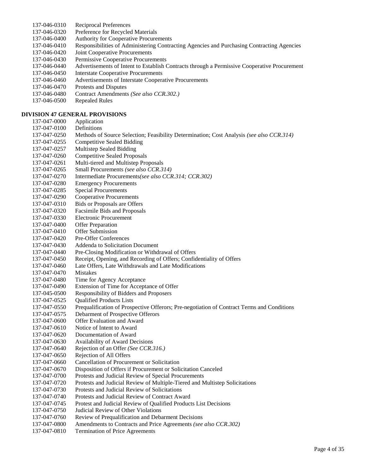- 137-046-0310 Reciprocal Preferences
- 137-046-0320 Preference for Recycled Materials
- 137-046-0400 Authority for Cooperative Procurements
- 137-046-0410 Responsibilities of Administering Contracting Agencies and Purchasing Contracting Agencies
- 137-046-0420 Joint Cooperative Procurements
- 137-046-0430 Permissive Cooperative Procurements
- 137-046-0440 Advertisements of Intent to Establish Contracts through a Permissive Cooperative Procurement
- 137-046-0450 Interstate Cooperative Procurements
- 137-046-0460 Advertisements of Interstate Cooperative Procurements
- 137-046-0470 Protests and Disputes
- 137-046-0480 Contract Amendments *(See also CCR.302.)*
- 137-046-0500 Repealed Rules

### **DIVISION 47 GENERAL PROVISIONS**

137-047-0000 Application 137-047-0100 Definitions 137-047-0250 Methods of Source Selection; Feasibility Determination; Cost Analysis *(see also CCR.314)* 137-047-0255 Competitive Sealed Bidding 137-047-0257 Multistep Sealed Bidding 137-047-0260 Competitive Sealed Proposals 137-047-0261 Multi-tiered and Multistep Proposals 137-047-0265 Small Procurements *(see also CCR.314)* 137-047-0270 Intermediate Procurements*(see also CCR.314; CCR.302)* 137-047-0280 Emergency Procurements 137-047-0285 Special Procurements 137-047-0290 Cooperative Procurements 137-047-0310 Bids or Proposals are Offers 137-047-0320 Facsimile Bids and Proposals 137-047-0330 Electronic Procurement 137-047-0400 Offer Preparation 137-047-0410 Offer Submission 137-047-0420 Pre-Offer Conferences 137-047-0430 Addenda to Solicitation Document 137-047-0440 Pre-Closing Modification or Withdrawal of Offers 137-047-0450 Receipt, Opening, and Recording of Offers; Confidentiality of Offers 137-047-0460 Late Offers, Late Withdrawals and Late Modifications 137-047-0470 Mistakes 137-047-0480 Time for Agency Acceptance 137-047-0490 Extension of Time for Acceptance of Offer 137-045-0500 Responsibility of Bidders and Proposers 137-047-0525 Qualified Products Lists 137-047-0550 Prequalification of Prospective Offerors; Pre-negotiation of Contract Terms and Conditions 137-047-0575 Debarment of Prospective Offerors 137-047-0600 Offer Evaluation and Award 137-047-0610 Notice of Intent to Award 137-047-0620 Documentation of Award 137-047-0630 Availability of Award Decisions 137-047-0640 Rejection of an Offer *(See CCR.316.)* 137-047-0650 Rejection of All Offers 137-047-0660 Cancellation of Procurement or Solicitation 137-047-0670 Disposition of Offers if Procurement or Solicitation Canceled 137-047-0700 Protests and Judicial Review of Special Procurements 137-047-0720 Protests and Judicial Review of Multiple-Tiered and Multistep Solicitations 137-047-0730 Protests and Judicial Review of Solicitations 137-047-0740 Protests and Judicial Review of Contract Award 137-047-0745 Protest and Judicial Review of Qualified Products List Decisions 137-047-0750 Judicial Review of Other Violations 137-047-0760 Review of Prequalification and Debarment Decisions<br>137-047-0800 Amendments to Contracts and Price Agreements (see Amendments to Contracts and Price Agreements *(see also CCR.302)* 137-047-0810 Termination of Price Agreements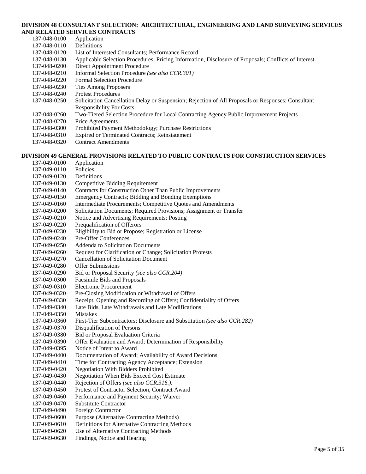### **DIVISION 48 CONSULTANT SELECTION: ARCHITECTURAL, ENGINEERING AND LAND SURVEYING SERVICES AND RELATED SERVICES CONTRACTS**

| 137-048-0100 | Application                                                                                          |
|--------------|------------------------------------------------------------------------------------------------------|
| 137-048-0110 | <b>Definitions</b>                                                                                   |
| 137-048-0120 | List of Interested Consultants; Performance Record                                                   |
| 137-048-0130 | Applicable Selection Procedures; Pricing Information, Disclosure of Proposals; Conflicts of Interest |
| 137-048-0200 | Direct Appointment Procedure                                                                         |
| 137-048-0210 | Informal Selection Procedure (see also CCR.301)                                                      |
| 137-048-0220 | <b>Formal Selection Procedure</b>                                                                    |
| 137-048-0230 | <b>Ties Among Proposers</b>                                                                          |
| 137-048-0240 | <b>Protest Procedures</b>                                                                            |
| 137-048-0250 | Solicitation Cancellation Delay or Suspension; Rejection of All Proposals or Responses; Consultant   |
|              | <b>Responsibility For Costs</b>                                                                      |
| 137-048-0260 | Two-Tiered Selection Procedure for Local Contracting Agency Public Improvement Projects              |
| 137-048-0270 | Price Agreements                                                                                     |
| 137-048-0300 | Prohibited Payment Methodology; Purchase Restrictions                                                |
| 137-048-0310 | <b>Expired or Terminated Contracts; Reinstatement</b>                                                |
| 137-048-0320 | <b>Contract Amendments</b>                                                                           |
|              |                                                                                                      |
|              | DIVISION 49 GENERAL PROVISIONS RELATED TO PUBLIC CONTRACTS FOR CONSTRUCTION SERVICES                 |
| 137-049-0100 | Application                                                                                          |

| 137-049-0100 | Application                                                               |
|--------------|---------------------------------------------------------------------------|
| 137-049-0110 | Policies                                                                  |
| 137-049-0120 | Definitions                                                               |
| 137-049-0130 | <b>Competitive Bidding Requirement</b>                                    |
| 137-049-0140 | Contracts for Construction Other Than Public Improvements                 |
| 137-049-0150 | <b>Emergency Contracts; Bidding and Bonding Exemptions</b>                |
| 137-049-0160 | Intermediate Procurements; Competitive Quotes and Amendments              |
| 137-049-0200 | Solicitation Documents; Required Provisions; Assignment or Transfer       |
| 137-049-0210 | Notice and Advertising Requirements; Posting                              |
| 137-049-0220 | Prequalification of Offerors                                              |
| 137-049-0230 | Eligibility to Bid or Propose; Registration or License                    |
| 137-049-0240 | Pre-Offer Conferences                                                     |
| 137-049-0250 | Addenda to Solicitation Documents                                         |
| 137-049-0260 | Request for Clarification or Change; Solicitation Protests                |
| 137-049-0270 | <b>Cancellation of Solicitation Document</b>                              |
| 137-049-0280 | <b>Offer Submissions</b>                                                  |
| 137-049-0290 | Bid or Proposal Security (see also CCR.204)                               |
| 137-049-0300 | Facsimile Bids and Proposals                                              |
| 137-049-0310 | <b>Electronic Procurement</b>                                             |
| 137-049-0320 | Pre-Closing Modification or Withdrawal of Offers                          |
| 137-049-0330 | Receipt, Opening and Recording of Offers; Confidentiality of Offers       |
| 137-049-0340 | Late Bids, Late Withdrawals and Late Modifications                        |
| 137-049-0350 | <b>Mistakes</b>                                                           |
| 137-049-0360 | First-Tier Subcontractors; Disclosure and Substitution (see also CCR.282) |
| 137-049-0370 | Disqualification of Persons                                               |
| 137-049-0380 | Bid or Proposal Evaluation Criteria                                       |
| 137-049-0390 | Offer Evaluation and Award; Determination of Responsibility               |
| 137-049-0395 | Notice of Intent to Award                                                 |
| 137-049-0400 | Documentation of Award; Availability of Award Decisions                   |
| 137-049-0410 | Time for Contracting Agency Acceptance; Extension                         |
| 137-049-0420 | <b>Negotiation With Bidders Prohibited</b>                                |
| 137-049-0430 | <b>Negotiation When Bids Exceed Cost Estimate</b>                         |
| 137-049-0440 | Rejection of Offers (see also CCR.316.).                                  |
| 137-049-0450 | Protest of Contractor Selection, Contract Award                           |
| 137-049-0460 | Performance and Payment Security; Waiver                                  |
| 137-049-0470 | <b>Substitute Contractor</b>                                              |
| 137-049-0490 | Foreign Contractor                                                        |
| 137-049-0600 | Purpose (Alternative Contracting Methods)                                 |
| 137-049-0610 | Definitions for Alternative Contracting Methods                           |
| 137-049-0620 | Use of Alternative Contracting Methods                                    |
| 137-049-0630 | Findings, Notice and Hearing                                              |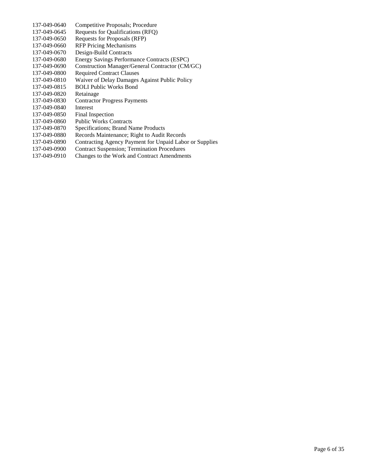| 137-049-0640 | Competitive Proposals; Procedure                        |
|--------------|---------------------------------------------------------|
| 137-049-0645 | Requests for Qualifications (RFQ)                       |
| 137-049-0650 | Requests for Proposals (RFP)                            |
| 137-049-0660 | <b>RFP Pricing Mechanisms</b>                           |
| 137-049-0670 | Design-Build Contracts                                  |
| 137-049-0680 | Energy Savings Performance Contracts (ESPC)             |
| 137-049-0690 | Construction Manager/General Contractor (CM/GC)         |
| 137-049-0800 | <b>Required Contract Clauses</b>                        |
| 137-049-0810 | Waiver of Delay Damages Against Public Policy           |
| 137-049-0815 | <b>BOLI Public Works Bond</b>                           |
| 137-049-0820 | Retainage                                               |
| 137-049-0830 | <b>Contractor Progress Payments</b>                     |
| 137-049-0840 | Interest                                                |
| 137-049-0850 | <b>Final Inspection</b>                                 |
| 137-049-0860 | <b>Public Works Contracts</b>                           |
| 137-049-0870 | Specifications; Brand Name Products                     |
| 137-049-0880 | Records Maintenance; Right to Audit Records             |
| 137-049-0890 | Contracting Agency Payment for Unpaid Labor or Supplies |
| 137-049-0900 | <b>Contract Suspension; Termination Procedures</b>      |
| 137-049-0910 | Changes to the Work and Contract Amendments             |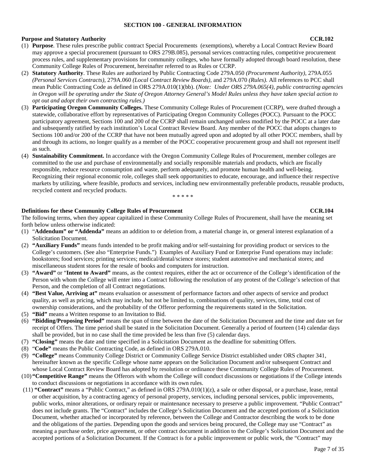#### **SECTION 100 - GENERAL INFORMATION**

#### **Purpose and Statutory Authority CCR.102**

- (1) **Purpose**. These rules prescribe public contract Special Procurements (exemptions), whereby a Local Contract Review Board may approve a special procurement (pursuant to ORS 279B.085), personal services contracting rules, competitive procurement process rules, and supplementary provisions for community colleges, who have formally adopted through board resolution, these Community College Rules of Procurement, hereinafter referred to as Rules or CCRP.
- (2) **Statutory Authority**. These Rules are authorized by Public Contracting Code 279A.050 *(Procurement Authority)*, 279A.055 *(Personal Services Contracts)*, 279A.060 *(Local Contract Review Boards)*, and 279A.070 *(Rules)*. All references to PCC shall mean Public Contracting Code as defined in ORS 279A.010(1)(bb). (*Note: Under ORS 279A.065(4), public contracting agencies in Oregon will be operating under the State of Oregon Attorney General's Model Rules unless they have taken special action to opt out and adopt their own contracting rules.)*
- (3) **Participating Oregon Community Colleges.** These Community College Rules of Procurement (CCRP), were drafted through a statewide, collaborative effort by representatives of Participating Oregon Community Colleges (POCC). Pursuant to the POCC participatory agreement, Sections 100 and 200 of the CCRP shall remain unchanged unless modified by the POCC at a later date and subsequently ratified by each institution's Local Contract Review Board. Any member of the POCC that adopts changes to Sections 100 and/or 200 of the CCRP that have not been mutually agreed upon and adopted by all other POCC members, shall by and through its actions, no longer qualify as a member of the POCC cooperative procurement group and shall not represent itself as such.
- (4) **Sustainability Commitment.** In accordance with the Oregon Community College Rules of Procurement, member colleges are committed to the use and purchase of environmentally and socially responsible materials and products, which are fiscally responsible, reduce resource consumption and waste, perform adequately, and promote human health and well-being. Recognizing their regional economic role, colleges shall seek opportunities to educate, encourage, and influence their respective markets by utilizing, where feasible, products and services, including new environmentally preferable products, reusable products, recycled content and recycled products.

\* \* \* \* \*

### **Definitions for these Community College Rules of Procurement <b>CCR.104** CCR.104

The following terms, when they appear capitalized in these Community College Rules of Procurement, shall have the meaning set forth below unless otherwise indicated:

- (1) "**Addendum" or "Addenda"** means an addition to or deletion from, a material change in, or general interest explanation of a Solicitation Document.
- (2) **"Auxiliary Funds"** means funds intended to be profit making and/or self-sustaining for providing product or services to the College's customers. (See also "Enterprise Funds.") Examples of Auxiliary Fund or Enterprise Fund operations may include: bookstores; food services; printing services; medical/dental/science stores; student automotive and mechanical stores; and miscellaneous student stores for the resale of books and computers for instruction.
- (3) **"Award"** or "**Intent to Award"** means, as the context requires, either the act or occurrence of the College's identification of the Person with whom the College will enter into a Contract following the resolution of any protest of the College's selection of that Person, and the completion of all Contract negotiations.
- (4) **"Best Value, Arriving at"** means evaluation or assessment of performance factors and other aspects of service and product quality, as well as pricing, which may include, but not be limited to, combinations of quality, services, time, total cost of ownership considerations, and the probability of the Offeror performing the requirements stated in the Solicitation.
- (5) **"Bid"** means a Written response to an Invitation to Bid.
- (6) **"Bidding/Proposing Period"** means the span of time between the date of the Solicitation Document and the time and date set for receipt of Offers. The time period shall be stated in the Solicitation Document. Generally a period of fourteen (14) calendar days shall be provided, but in no case shall the time provided be less than five (5) calendar days.
- (7) **"Closing"** means the date and time specified in a Solicitation Document as the deadline for submitting Offers.
- (8) "**Code"** means the Public Contracting Code, as defined in ORS 279A.010.
- (9) **"College"** means Community College District or Community College Service District established under ORS chapter 341, hereinafter known as the specific College whose name appears on the Solicitation Document and/or subsequent Contract and whose Local Contract Review Board has adopted by resolution or ordinance these Community College Rules of Procurement.
- (10) **"Competitive Range"** means the Offerors with whom the College will conduct discussions or negotiations if the College intends to conduct discussions or negotiations in accordance with its own rules.
- (11) **"Contract"** means a "Public Contract," as defined in ORS 279A.010(1)(z), a sale or other disposal, or a purchase, lease, rental or other acquisition, by a contracting agency of personal property, services, including personal services, public improvements, public works, minor alterations, or ordinary repair or maintenance necessary to preserve a public improvement. "Public Contract" does not include grants. The "Contract" includes the College's Solicitation Document and the accepted portions of a Solicitation Document, whether attached or incorporated by reference, between the College and Contractor describing the work to be done and the obligations of the parties. Depending upon the goods and services being procured, the College may use "Contract" as meaning a purchase order, price agreement, or other contract document in addition to the College's Solicitation Document and the accepted portions of a Solicitation Document. If the Contract is for a public improvement or public work, the "Contract" may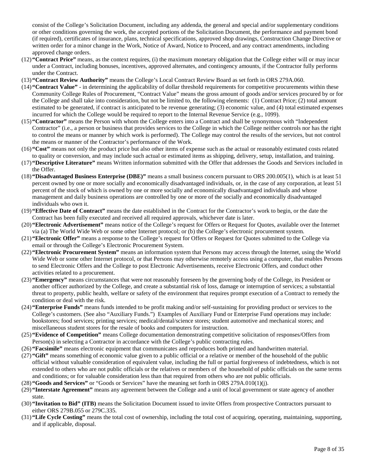consist of the College's Solicitation Document, including any addenda, the general and special and/or supplementary conditions or other conditions governing the work, the accepted portions of the Solicitation Document, the performance and payment bond (if required), certificates of insurance, plans, technical specifications, approved shop drawings, Construction Change Directive or written order for a minor change in the Work, Notice of Award, Notice to Proceed, and any contract amendments, including approved change orders.

- (12)**"Contract Price"** means, as the context requires, (i) the maximum monetary obligation that the College either will or may incur under a Contract, including bonuses, incentives, approved alternates, and contingency amounts, if the Contractor fully performs under the Contract.
- (13)**"Contract Review Authority"** means the College's Local Contract Review Board as set forth in ORS 279A.060.
- (14)**"Contract Value"**  in determining the applicability of dollar threshold requirements for competitive procurements within these Community College Rules of Procurement, "Contract Value" means the gross amount of goods and/or services procured by or for the College and shall take into consideration, but not be limited to, the following elements: (1) Contract Price; (2) total amount estimated to be generated, if contract is anticipated to be revenue generating; (3) economic value, and (4) total estimated expenses incurred for which the College would be required to report to the Internal Revenue Service (e.g., 1099).
- (15)**"Contractor"** means the Person with whom the College enters into a Contract and shall be synonymous with "Independent Contractor" (i.e., a person or business that provides services to the College in which the College neither controls nor has the right to control the means or manner by which work is performed). The College may control the results of the services, but not control the means or manner of the Contractor's performance of the Work.
- (16)**"Cost"** means not only the product price but also other items of expense such as the actual or reasonably estimated costs related to quality or conversion, and may include such actual or estimated items as shipping, delivery, setup, installation, and training.
- (17)**"Descriptive Literature"** means Written information submitted with the Offer that addresses the Goods and Services included in the Offer.
- (18)**"Disadvantaged Business Enterprise (DBE)"** means a small business concern pursuant to ORS 200.005(1), which is at least 51 percent owned by one or more socially and economically disadvantaged individuals, or, in the case of any corporation, at least 51 percent of the stock of which is owned by one or more socially and economically disadvantaged individuals and whose management and daily business operations are controlled by one or more of the socially and economically disadvantaged individuals who own it.
- (19)**"Effective Date of Contract"** means the date established in the Contract for the Contractor's work to begin, or the date the Contract has been fully executed and received all required approvals, whichever date is later.
- (20)**"Electronic Advertisement"** means notice of the College's request for Offers or Request for Quotes, available over the Internet via (a) The World Wide Web or some other Internet protocol; or (b) the College's electronic procurement system.
- (21)**"Electronic Offer"** means a response to the College's request for Offers or Request for Quotes submitted to the College via email or through the College's Electronic Procurement System.
- (22) **"Electronic Procurement System"** means an information system that Persons may access through the Internet, using the World Wide Web or some other Internet protocol, or that Persons may otherwise remotely access using a computer, that enables Persons to send Electronic Offers and the College to post Electronic Advertisements, receive Electronic Offers, and conduct other activities related to a procurement.
- (23) **"Emergency"** means circumstances that were not reasonably foreseen by the governing body of the College, its President or another officer authorized by the College, and create a substantial risk of loss, damage or interruption of services; a substantial threat to property, public health, welfare or safety of the environment that requires prompt execution of a Contract to remedy the condition or deal with the risk.
- (24)**"Enterprise Funds"** means funds intended to be profit making and/or self-sustaining for providing product or services to the College's customers. (See also "Auxiliary Funds.") Examples of Auxiliary Fund or Enterprise Fund operations may include: bookstores; food services; printing services; medical/dental/science stores; student automotive and mechanical stores; and miscellaneous student stores for the resale of books and computers for instruction.
- (25)**"Evidence of Competition"** means College documentation demonstrating competitive solicitation of responses/Offers from Person(s) in selecting a Contractor in accordance with the College's public contracting rules.
- (26) **"Facsimile"** means electronic equipment that communicates and reproduces both printed and handwritten material.
- (27)**"Gift"** means something of economic value given to a public official or a relative or member of the household of the public official without valuable consideration of equivalent value, including the full or partial forgiveness of indebtedness, which is not extended to others who are not public officials or the relatives or members of the household of public officials on the same terms and conditions; or for valuable consideration less than that required from others who are not public officials.
- (28) **"Goods and Services"** or "Goods or Services" have the meaning set forth in ORS 279A.010(1)(j).
- (29)**"Interstate Agreement"** means any agreement between the College and a unit of local government or state agency of another state.
- (30)**"Invitation to Bid" (ITB)** means the Solicitation Document issued to invite Offers from prospective Contractors pursuant to either ORS 279B.055 or 279C.335.
- (31)**"Life Cycle Costing"** means the total cost of ownership, including the total cost of acquiring, operating, maintaining, supporting, and if applicable, disposal.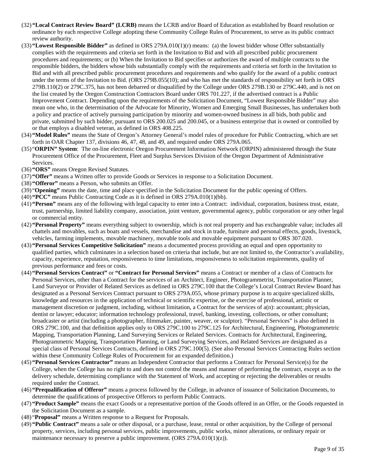- (32)**"Local Contract Review Board" (LCRB)** means the LCRB and/or Board of Education as established by Board resolution or ordinance by each respective College adopting these Community College Rules of Procurement, to serve as its public contract review authority.
- (33)**"Lowest Responsible Bidder"** as defined in ORS 279A.010(1)(r) means: (a) the lowest bidder whose Offer substantially complies with the requirements and criteria set forth in the Invitation to Bid and with all prescribed public procurement procedures and requirements; or (b) When the Invitation to Bid specifies or authorizes the award of multiple contracts to the responsible bidders, the bidders whose bids substantially comply with the requirements and criteria set forth in the Invitation to Bid and with all prescribed public procurement procedures and requirements and who qualify for the award of a public contract under the terms of the Invitation to Bid. (ORS 279B.055(10); and who has met the standards of responsibility set forth in ORS 279B.110(2) or 279C.375, has not been debarred or disqualified by the College under ORS 279B.130 or 279C.440, and is not on the list created by the Oregon Construction Contractors Board under ORS 701.227, if the advertised contract is a Public Improvement Contract. Depending upon the requirements of the Solicitation Document, "Lowest Responsible Bidder" may also mean one who, in the determination of the Advocate for Minority, Women and Emerging Small Businesses, has undertaken both a policy and practice of actively pursuing participation by minority and women-owned business in all bids, both public and private, submitted by such bidder, pursuant to ORS 200.025 and 200.045, or a business enterprise that is owned or controlled by or that employs a disabled veteran, as defined in ORS 408.225.
- (34)**"Model Rules"** means the State of Oregon's Attorney General's model rules of procedure for Public Contracting, which are set forth in OAR Chapter 137, divisions 46, 47, 48, and 49, and required under ORS 279A.065.
- (35) "**ORPIN" System**: The on-line electronic Oregon Procurement Information Network (ORPIN) administered through the State Procurement Office of the Procurement, Fleet and Surplus Services Division of the Oregon Department of Administrative Services.
- (36)**"ORS"** means Oregon Revised Statutes.
- (37)**"Offer"** means a Written offer to provide Goods or Services in response to a Solicitation Document.
- (38)**"Offeror"** means a Person, who submits an Offer.
- (39) "**Opening"** means the date, time and place specified in the Solicitation Document for the public opening of Offers.
- (40)**"PCC"** means Public Contracting Code as it is defined in ORS 279A.010(1)(bb).
- (41)**"Person"** means any of the following with legal capacity to enter into a Contract: individual, corporation, business trust, estate, trust, partnership, limited liability company, association, joint venture, governmental agency, public corporation or any other legal or commercial entity.
- (42)**"Personal Property"** means everything subject to ownership, which is not real property and has exchangeable value; includes all chattels and movables, such as boats and vessels, merchandise and stock in trade, furniture and personal effects, goods, livestock, vehicles, farming implements, movable machinery, movable tools and movable equipment pursuant to ORS 307.020.
- (43)**"Personal Services Competitive Solicitation"** means a documented process providing an equal and open opportunity to qualified parties, which culminates in a selection based on criteria that include, but are not limited to, the Contractor's availability, capacity, experience, reputation, responsiveness to time limitations, responsiveness to solicitation requirements, quality of previous performance and fees or costs.
- (44) **"Personal Services Contract"** or **"Contract for Personal Services"** means a Contract or member of a class of Contracts for Personal Services, other than a Contract for the services of an Architect, Engineer, Photogrammetrist, Transportation Planner, Land Surveyor or Provider of Related Services as defined in ORS 279C.100 that the College's Local Contract Review Board has designated as a Personal Services Contract pursuant to ORS 279A.055, whose primary purpose is to acquire specialized skills, knowledge and resources in the application of technical or scientific expertise, or the exercise of professional, artistic or management discretion or judgment, including, without limitation, a Contract for the services of a(n): accountant; physician, dentist or lawyer; educator; information technology professional, travel, banking, investing, collections, or other consultant; broadcaster or artist (including a photographer, filmmaker, painter, weaver, or sculptor). "Personal Services" is also defined in ORS 279C.100, and that definition applies only to ORS 279C.100 to 279C.125 for Architectural, Engineering, Photogrammetric Mapping, Transportation Planning, Land Surveying Services or Related Services. Contracts for Architectural, Engineering, Photogrammetric Mapping, Transportation Planning, or Land Surveying Services, and Related Services are designated as a special class of Personal Services Contracts, defined in ORS 279C.100(5). (See also Personal Services Contracting Rules section within these Community College Rules of Procurement for an expanded definition.)
- (45)**"Personal Services Contractor"** means an Independent Contractor that performs a Contract for Personal Service(s) for the College, when the College has no right to and does not control the means and manner of performing the contract, except as to the delivery schedule, determining compliance with the Statement of Work, and accepting or rejecting the deliverables or results required under the Contract.
- (46)**"Prequalification of Offeror"** means a process followed by the College, in advance of issuance of Solicitation Documents, to determine the qualifications of prospective Offerors to perform Public Contracts.
- (47) **"Product Sample"** means the exact Goods or a representative portion of the Goods offered in an Offer, or the Goods requested in the Solicitation Document as a sample.
- (48) "**Proposal"** means a Written response to a Request for Proposals.
- (49)**"Public Contract"** means a sale or other disposal, or a purchase, lease, rental or other acquisition, by the College of personal property, services, including personal services, public improvements, public works, minor alterations, or ordinary repair or maintenance necessary to preserve a public improvement. (ORS 279A.010(1)(z)).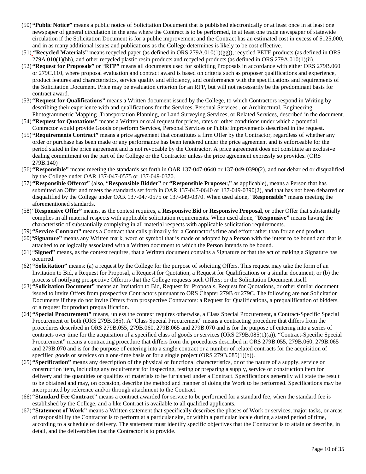- (50)**"Public Notice"** means a public notice of Solicitation Document that is published electronically or at least once in at least one newspaper of general circulation in the area where the Contract is to be performed, in at least one trade newspaper of statewide circulation if the Solicitation Document is for a public improvement and the Contract has an estimated cost in excess of \$125,000, and in as many additional issues and publications as the College determines is likely to be cost effective.
- (51) **"Recycled Materials"** means recycled paper (as defined in ORS 279A.010(1)(gg)), recycled PETE products (as defined in ORS 279A.010(1)(hh), and other recycled plastic resin products and recycled products (as defined in ORS 279A.010(1)(ii).
- (52) **"Request for Proposals"** or "**RFP"** means all documents used for soliciting Proposals in accordance with either ORS 279B.060 or 279C.110, where proposal evaluation and contract award is based on criteria such as proposer qualifications and experience, product features and characteristics, service quality and efficiency, and conformance with the specifications and requirements of the Solicitation Document. Price may be evaluation criterion for an RFP, but will not necessarily be the predominant basis for contract award.
- (53) **"Request for Qualifications"** means a Written document issued by the College, to which Contractors respond in Writing by describing their experience with and qualifications for the Services, Personal Services , or Architectural, Engineering, Photogrammetric Mapping ,Transportation Planning, or Land Surveying Services, or Related Services, described in the document.
- (54) **"Request for Quotations"** means a Written or oral request for prices, rates or other conditions under which a potential Contractor would provide Goods or perform Services, Personal Services or Public Improvements described in the request.
- (55) **"Requirements Contract"** means a price agreement that constitutes a firm Offer by the Contractor, regardless of whether any order or purchase has been made or any performance has been tendered under the price agreement and is enforceable for the period stated in the price agreement and is not revocable by the Contractor. A price agreement does not constitute an exclusive dealing commitment on the part of the College or the Contractor unless the price agreement expressly so provides. (ORS 279B.140)
- (56) **"Responsible"** means meeting the standards set forth in OAR 137-047-0640 or 137-049-0390(2), and not debarred or disqualified by the College under OAR 137-047-0575 or 137-049-0370.
- (57) **"Responsible Offeror"** (also, "**Responsible Bidder"** or **"Responsible Proposer,"** as applicable), means a Person that has submitted an Offer and meets the standards set forth in OAR 137-047-0640 or 137-049-0390(2), and that has not been debarred or disqualified by the College under OAR 137-047-0575 or 137-049-0370. When used alone, "**Responsible"** means meeting the aforementioned standards.
- (58) "**Responsive Offer"** means, as the context requires, a **Responsive Bid** or **Responsive Proposal,** or other Offer that substantially complies in all material respects with applicable solicitation requirements. When used alone, "**Responsive"** means having the characteristic of substantially complying in all material respects with applicable solicitation requirements.
- (59)**"Service Contract"** means a Contract that calls primarily for a Contractor's time and effort rather than for an end product.
- (60)"**Signature"** means any Written mark, word or symbol that is made or adopted by a Person with the intent to be bound and that is attached to or logically associated with a Written document to which the Person intends to be bound.
- (61) "**Signed"** means, as the context requires, that a Written document contains a Signature or that the act of making a Signature has occurred.
- (62) **"Solicitation"** means: (a) a request by the College for the purpose of soliciting Offers. This request may take the form of an Invitation to Bid, a Request for Proposal, a Request for Quotation, a Request for Qualifications or a similar document; or (b) the process of notifying prospective Offerors that the College requests such Offers; or the Solicitation Document itself.
- (63) **"Solicitation Document"** means an Invitation to Bid, Request for Proposals, Request for Quotations, or other similar document issued to invite Offers from prospective Contractors pursuant to ORS Chapter 279B or 279C. The following are not Solicitation Documents if they do not invite Offers from prospective Contractors: a Request for Qualifications, a prequalification of bidders, or a request for product prequalification.
- (64) **"Special Procurement"** means, unless the context requires otherwise, a Class Special Procurement, a Contract-Specific Special Procurement or both (ORS 279B.085). A "Class Special Procurement" means a contracting procedure that differs from the procedures described in ORS 279B.055, 279B.060, 279B.065 and 279B.070 and is for the purpose of entering into a series of contracts over time for the acquisition of a specified class of goods or services (ORS 279B.085(1)(a)). "Contract-Specific Special Procurement" means a contracting procedure that differs from the procedures described in ORS 279B.055, 279B.060, 279B.065 and 279B.070 and is for the purpose of entering into a single contract or a number of related contracts for the acquisition of specified goods or services on a one-time basis or for a single project (ORS 279B.085(1)(b)).
- (65) **"Specification"** means any description of the physical or functional characteristics, or of the nature of a supply, service or construction item, including any requirement for inspecting, testing or preparing a supply, service or construction item for delivery and the quantities or qualities of materials to be furnished under a Contract. Specifications generally will state the result to be obtained and may, on occasion, describe the method and manner of doing the Work to be performed. Specifications may be incorporated by reference and/or through attachment to the Contract.
- (66) **"Standard Fee Contract"** means a contract awarded for service to be performed for a standard fee, when the standard fee is established by the College, and a like Contract is available to all qualified applicants.
- (67) **"Statement of Work"** means a Written statement that specifically describes the phases of Work or services, major tasks, or areas of responsibility the Contractor is to perform at a particular site, or within a particular locale during a stated period of time, according to a schedule of delivery. The statement must identify specific objectives that the Contractor is to attain or describe, in detail, and the deliverables that the Contractor is to provide.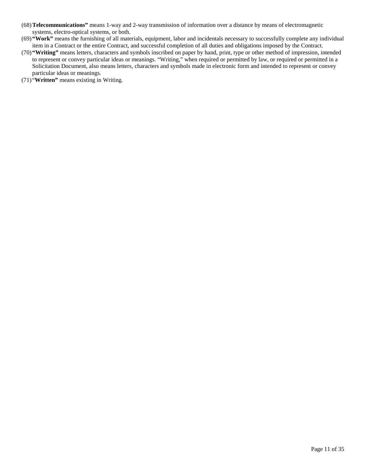- (68)**Telecommunications"** means 1-way and 2-way transmission of information over a distance by means of electromagnetic systems, electro-optical systems, or both.
- (69)**"Work"** means the furnishing of all materials, equipment, labor and incidentals necessary to successfully complete any individual item in a Contract or the entire Contract, and successful completion of all duties and obligations imposed by the Contract.
- (70)**"Writing"** means letters, characters and symbols inscribed on paper by hand, print, type or other method of impression, intended to represent or convey particular ideas or meanings. "Writing," when required or permitted by law, or required or permitted in a Solicitation Document, also means letters, characters and symbols made in electronic form and intended to represent or convey particular ideas or meanings.
- (71) "**Written"** means existing in Writing.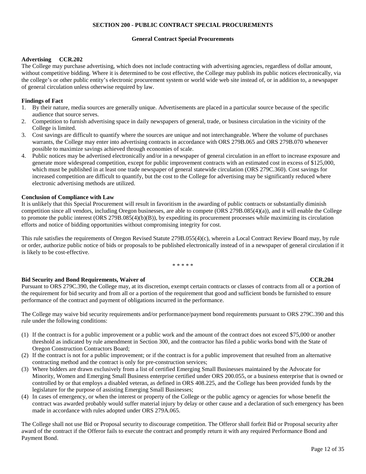### **SECTION 200 - PUBLIC CONTRACT SPECIAL PROCUREMENTS**

#### **General Contract Special Procurements**

#### **Advertising CCR.202**

The College may purchase advertising, which does not include contracting with advertising agencies, regardless of dollar amount, without competitive bidding. Where it is determined to be cost effective, the College may publish its public notices electronically, via the college's or other public entity's electronic procurement system or world wide web site instead of, or in addition to, a newspaper of general circulation unless otherwise required by law.

#### **Findings of Fact**

- 1. By their nature, media sources are generally unique. Advertisements are placed in a particular source because of the specific audience that source serves.
- 2. Competition to furnish advertising space in daily newspapers of general, trade, or business circulation in the vicinity of the College is limited.
- 3. Cost savings are difficult to quantify where the sources are unique and not interchangeable. Where the volume of purchases warrants, the College may enter into advertising contracts in accordance with ORS 279B.065 and ORS 279B.070 whenever possible to maximize savings achieved through economies of scale.
- 4. Public notices may be advertised electronically and/or in a newspaper of general circulation in an effort to increase exposure and generate more widespread competition, except for public improvement contracts with an estimated cost in excess of \$125,000, which must be published in at least one trade newspaper of general statewide circulation (ORS 279C.360). Cost savings for increased competition are difficult to quantify, but the cost to the College for advertising may be significantly reduced where electronic advertising methods are utilized.

#### **Conclusion of Compliance with Law**

It is unlikely that this Special Procurement will result in favoritism in the awarding of public contracts or substantially diminish competition since all vendors, including Oregon businesses, are able to compete (ORS 279B.085(4)(a)), and it will enable the College to promote the public interest (ORS 279B.085(4)(b)(B)), by expediting its procurement processes while maximizing its circulation efforts and notice of bidding opportunities without compromising integrity for cost.

This rule satisfies the requirements of Oregon Revised Statute 279B.055(4)(c), wherein a Local Contract Review Board may, by rule or order, authorize public notice of bids or proposals to be published electronically instead of in a newspaper of general circulation if it is likely to be cost-effective.

\* \* \* \* \*

### **Bid Security and Bond Requirements, Waiver of CCR.204**

Pursuant to ORS 279C.390, the College may, at its discretion, exempt certain contracts or classes of contracts from all or a portion of the requirement for bid security and from all or a portion of the requirement that good and sufficient bonds be furnished to ensure performance of the contract and payment of obligations incurred in the performance.

The College may waive bid security requirements and/or performance/payment bond requirements pursuant to ORS 279C.390 and this rule under the following conditions:

- (1) If the contract is for a public improvement or a public work and the amount of the contract does not exceed \$75,000 or another threshold as indicated by rule amendment in Section 300, and the contractor has filed a public works bond with the State of Oregon Construction Contractors Board;
- (2) If the contract is not for a public improvement; or if the contract is for a public improvement that resulted from an alternative contracting method and the contract is only for pre-construction services;
- (3) Where bidders are drawn exclusively from a list of certified Emerging Small Businesses maintained by the Advocate for Minority, Women and Emerging Small Business enterprise certified under ORS 200.055, or a business enterprise that is owned or controlled by or that employs a disabled veteran, as defined in ORS 408.225, and the College has been provided funds by the legislature for the purpose of assisting Emerging Small Businesses;
- (4) In cases of emergency, or when the interest or property of the College or the public agency or agencies for whose benefit the contract was awarded probably would suffer material injury by delay or other cause and a declaration of such emergency has been made in accordance with rules adopted under ORS 279A.065.

The College shall not use Bid or Proposal security to discourage competition. The Offeror shall forfeit Bid or Proposal security after award of the contract if the Offeror fails to execute the contract and promptly return it with any required Performance Bond and Payment Bond.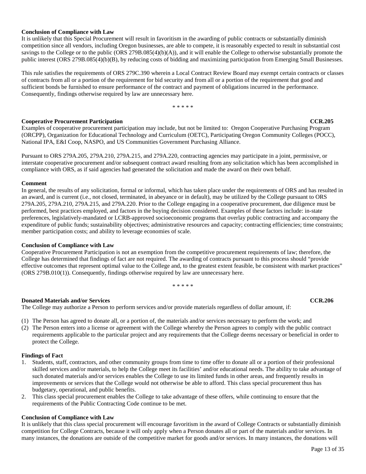#### **Conclusion of Compliance with Law**

It is unlikely that this Special Procurement will result in favoritism in the awarding of public contracts or substantially diminish competition since all vendors, including Oregon businesses, are able to compete, it is reasonably expected to result in substantial cost savings to the College or to the public (ORS 279B.085(4)(b)(A)), and it will enable the College to otherwise substantially promote the public interest (ORS 279B.085(4)(b)(B), by reducing costs of bidding and maximizing participation from Emerging Small Businesses.

This rule satisfies the requirements of ORS 279C.390 wherein a Local Contract Review Board may exempt certain contracts or classes of contracts from all or a portion of the requirement for bid security and from all or a portion of the requirement that good and sufficient bonds be furnished to ensure performance of the contract and payment of obligations incurred in the performance. Consequently, findings otherwise required by law are unnecessary here.

\* \* \* \* \*

### **COOPER COOPER COOPER COOPER COOPER COOPER COOPER COOPER COOPER COOPER COOPER COOPER COOPER COOPER COOPER COOPER COOPER COOPER COOPER COOPER COOPER COOPER COOPER COOPER COOPER COOPER COOPER COOPER COOPER COOPER COOPER COOP**

Examples of cooperative procurement participation may include, but not be limited to: Oregon Cooperative Purchasing Program (ORCPP), Organization for Educational Technology and Curriculum (OETC), Participating Oregon Community Colleges (POCC), National IPA, E&I Coop, NASPO, and US Communities Government Purchasing Alliance.

Pursuant to ORS 279A.205, 279A.210, 279A.215, and 279A.220, contracting agencies may participate in a joint, permissive, or interstate cooperative procurement and/or subsequent contract award resulting from any solicitation which has been accomplished in compliance with ORS, as if said agencies had generated the solicitation and made the award on their own behalf.

#### **Comment**

In general, the results of any solicitation, formal or informal, which has taken place under the requirements of ORS and has resulted in an award, and is current (i.e., not closed, terminated, in abeyance or in default), may be utilized by the College pursuant to ORS 279A.205, 279A.210, 279A.215, and 279A.220. Prior to the College engaging in a cooperative procurement, due diligence must be performed, best practices employed, and factors in the buying decision considered. Examples of these factors include: in-state preferences, legislatively-mandated or LCRB-approved socioeconomic programs that overlay public contracting and accompany the expenditure of public funds; sustainability objectives; administrative resources and capacity; contracting efficiencies; time constraints; member participation costs; and ability to leverage economies of scale.

### **Conclusion of Compliance with Law**

Cooperative Procurement Participation is not an exemption from the competitive procurement requirements of law; therefore, the College has determined that findings of fact are not required. The awarding of contracts pursuant to this process should "provide effective outcomes that represent optimal value to the College and, to the greatest extent feasible, be consistent with market practices" (ORS 279B.010(1)). Consequently, findings otherwise required by law are unnecessary here.

\* \* \* \* \*

### **Donated Materials and/or Services CCR.206**

The College may authorize a Person to perform services and/or provide materials regardless of dollar amount, if:

- (1) The Person has agreed to donate all, or a portion of, the materials and/or services necessary to perform the work; and
- (2) The Person enters into a license or agreement with the College whereby the Person agrees to comply with the public contract requirements applicable to the particular project and any requirements that the College deems necessary or beneficial in order to protect the College.

### **Findings of Fact**

- 1. Students, staff, contractors, and other community groups from time to time offer to donate all or a portion of their professional skilled services and/or materials, to help the College meet its facilities' and/or educational needs. The ability to take advantage of such donated materials and/or services enables the College to use its limited funds in other areas, and frequently results in improvements or services that the College would not otherwise be able to afford. This class special procurement thus has budgetary, operational, and public benefits.
- 2. This class special procurement enables the College to take advantage of these offers, while continuing to ensure that the requirements of the Public Contracting Code continue to be met.

#### **Conclusion of Compliance with Law**

It is unlikely that this class special procurement will encourage favoritism in the award of College Contracts or substantially diminish competition for College Contracts, because it will only apply when a Person donates all or part of the materials and/or services. In many instances, the donations are outside of the competitive market for goods and/or services. In many instances, the donations will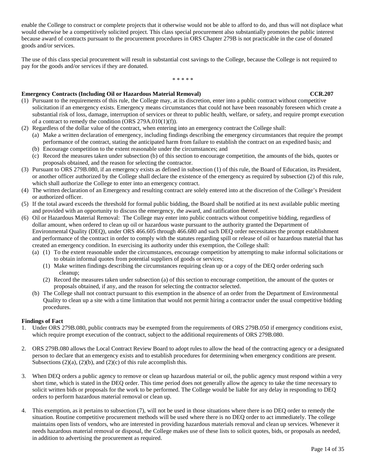enable the College to construct or complete projects that it otherwise would not be able to afford to do, and thus will not displace what would otherwise be a competitively solicited project. This class special procurement also substantially promotes the public interest because award of contracts pursuant to the procurement procedures in ORS Chapter 279B is not practicable in the case of donated goods and/or services.

The use of this class special procurement will result in substantial cost savings to the College, because the College is not required to pay for the goods and/or services if they are donated.

#### \* \* \* \* \*

### **Emergency Contracts (Including Oil or Hazardous Material Removal) <b>CCR.207 CCR.207**

- (1) Pursuant to the requirements of this rule, the College may, at its discretion, enter into a public contract without competitive solicitation if an emergency exists. Emergency means circumstances that could not have been reasonably foreseen which create a substantial risk of loss, damage, interruption of services or threat to public health, welfare, or safety, and require prompt execution of a contract to remedy the condition (ORS 279A.010(1)(f)).
- (2) Regardless of the dollar value of the contract, when entering into an emergency contract the College shall:
	- (a) Make a written declaration of emergency, including findings describing the emergency circumstances that require the prompt performance of the contract, stating the anticipated harm from failure to establish the contract on an expedited basis; and
	- (b) Encourage competition to the extent reasonable under the circumstances; and
	- (c) Record the measures taken under subsection (b) of this section to encourage competition, the amounts of the bids, quotes or proposals obtained, and the reason for selecting the contractor.
- (3) Pursuant to ORS 279B.080, if an emergency exists as defined in subsection (1) of this rule, the Board of Education, its President, or another officer authorized by the College shall declare the existence of the emergency as required by subsection (2) of this rule, which shall authorize the College to enter into an emergency contract.
- (4) The written declaration of an Emergency and resulting contract are solely entered into at the discretion of the College's President or authorized officer.
- (5) If the total award exceeds the threshold for formal public bidding, the Board shall be notified at its next available public meeting and provided with an opportunity to discuss the emergency, the award, and ratification thereof.
- (6) Oil or Hazardous Material Removal: The College may enter into public contracts without competitive bidding, regardless of dollar amount, when ordered to clean up oil or hazardous waste pursuant to the authority granted the Department of Environmental Quality (DEQ), under ORS 466.605 through 466.680 and such DEQ order necessitates the prompt establishment and performance of the contract in order to comply with the statutes regarding spill or release of oil or hazardous material that has created an emergency condition. In exercising its authority under this exemption, the College shall:
	- (a) (1) To the extent reasonable under the circumstances, encourage competition by attempting to make informal solicitations or to obtain informal quotes from potential suppliers of goods or services;
		- (1) Make written findings describing the circumstances requiring clean up or a copy of the DEQ order ordering such cleanup;
		- (2) Record the measures taken under subsection (a) of this section to encourage competition, the amount of the quotes or proposals obtained, if any, and the reason for selecting the contractor selected.
	- (b) The College shall not contract pursuant to this exemption in the absence of an order from the Department of Environmental Quality to clean up a site with a time limitation that would not permit hiring a contractor under the usual competitive bidding procedures.

### **Findings of Fact**

- 1. Under ORS 279B.080, public contracts may be exempted from the requirements of ORS 279B.050 if emergency conditions exist, which require prompt execution of the contract, subject to the additional requirements of ORS 279B.080.
- 2. ORS 279B.080 allows the Local Contract Review Board to adopt rules to allow the head of the contracting agency or a designated person to declare that an emergency exists and to establish procedures for determining when emergency conditions are present. Subsections  $(2)(a)$ ,  $(2)(b)$ , and  $(2)(c)$  of this rule accomplish this.
- 3. When DEQ orders a public agency to remove or clean up hazardous material or oil, the public agency must respond within a very short time, which is stated in the DEQ order. This time period does not generally allow the agency to take the time necessary to solicit written bids or proposals for the work to be performed. The College would be liable for any delay in responding to DEQ orders to perform hazardous material removal or clean up.
- 4. This exemption, as it pertains to subsection (7), will not be used in those situations where there is no DEQ order to remedy the situation. Routine competitive procurement methods will be used where there is no DEQ order to act immediately. The college maintains open lists of vendors, who are interested in providing hazardous materials removal and clean up services. Whenever it needs hazardous material removal or disposal, the College makes use of these lists to solicit quotes, bids, or proposals as needed, in addition to advertising the procurement as required.

#### Page 14 of 35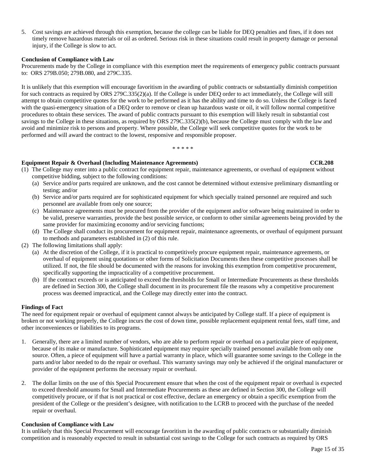5. Cost savings are achieved through this exemption, because the college can be liable for DEQ penalties and fines, if it does not timely remove hazardous materials or oil as ordered. Serious risk in these situations could result in property damage or personal injury, if the College is slow to act.

#### **Conclusion of Compliance with Law**

Procurements made by the College in compliance with this exemption meet the requirements of emergency public contracts pursuant to: ORS 279B.050; 279B.080, and 279C.335.

It is unlikely that this exemption will encourage favoritism in the awarding of public contracts or substantially diminish competition for such contracts as required by ORS 279C.335(2)(a). If the College is under DEQ order to act immediately, the College will still attempt to obtain competitive quotes for the work to be performed as it has the ability and time to do so. Unless the College is faced with the quasi-emergency situation of a DEQ order to remove or clean up hazardous waste or oil, it will follow normal competitive procedures to obtain these services. The award of public contracts pursuant to this exemption will likely result in substantial cost savings to the College in these situations, as required by ORS 279C.335(2)(b), because the College must comply with the law and avoid and minimize risk to persons and property. Where possible, the College will seek competitive quotes for the work to be performed and will award the contract to the lowest, responsive and responsible proposer.

\* \* \* \* \*

### **Equipment Repair & Overhaul (Including Maintenance Agreements) CCR.208**

- (1) The College may enter into a public contract for equipment repair, maintenance agreements, or overhaul of equipment without competitive bidding, subject to the following conditions:
	- (a) Service and/or parts required are unknown, and the cost cannot be determined without extensive preliminary dismantling or testing; and/or
	- (b) Service and/or parts required are for sophisticated equipment for which specially trained personnel are required and such personnel are available from only one source;
	- (c) Maintenance agreements must be procured from the provider of the equipment and/or software being maintained in order to be valid, preserve warranties, provide the best possible service, or conform to other similar agreements being provided by the same provider for maximizing economy and/or servicing functions;
	- (d) The College shall conduct its procurement for equipment repair, maintenance agreements, or overhaul of equipment pursuant to methods and parameters established in (2) of this rule.
- (2) The following limitations shall apply:
	- (a) At the discretion of the College, if it is practical to competitively procure equipment repair, maintenance agreements, or overhaul of equipment using quotations or other forms of Solicitation Documents then these competitive processes shall be utilized. If not, the file should be documented with the reasons for invoking this exemption from competitive procurement, specifically supporting the impracticality of a competitive procurement.
	- (b) If the contract exceeds or is anticipated to exceed the thresholds for Small or Intermediate Procurements as these thresholds are defined in Section 300, the College shall document in its procurement file the reasons why a competitive procurement process was deemed impractical, and the College may directly enter into the contract.

#### **Findings of Fact**

The need for equipment repair or overhaul of equipment cannot always be anticipated by College staff. If a piece of equipment is broken or not working properly, the College incurs the cost of down time, possible replacement equipment rental fees, staff time, and other inconveniences or liabilities to its programs.

- 1. Generally, there are a limited number of vendors, who are able to perform repair or overhaul on a particular piece of equipment, because of its make or manufacture. Sophisticated equipment may require specially trained personnel available from only one source. Often, a piece of equipment will have a partial warranty in place, which will guarantee some savings to the College in the parts and/or labor needed to do the repair or overhaul. This warranty savings may only be achieved if the original manufacturer or provider of the equipment performs the necessary repair or overhaul.
- 2. The dollar limits on the use of this Special Procurement ensure that when the cost of the equipment repair or overhaul is expected to exceed threshold amounts for Small and Intermediate Procurements as these are defined in Section 300, the College will competitively procure, or if that is not practical or cost effective, declare an emergency or obtain a specific exemption from the president of the College or the president's designee, with notification to the LCRB to proceed with the purchase of the needed repair or overhaul.

#### **Conclusion of Compliance with Law**

It is unlikely that this Special Procurement will encourage favoritism in the awarding of public contracts or substantially diminish competition and is reasonably expected to result in substantial cost savings to the College for such contracts as required by ORS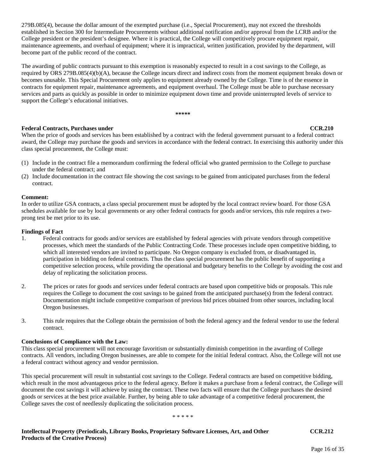279B.085(4), because the dollar amount of the exempted purchase (i.e., Special Procurement), may not exceed the thresholds established in Section 300 for Intermediate Procurements without additional notification and/or approval from the LCRB and/or the College president or the president's designee. Where it is practical, the College will competitively procure equipment repair, maintenance agreements, and overhaul of equipment; where it is impractical, written justification, provided by the department, will become part of the public record of the contract.

The awarding of public contracts pursuant to this exemption is reasonably expected to result in a cost savings to the College, as required by ORS 279B.085(4)(b)(A), because the College incurs direct and indirect costs from the moment equipment breaks down or becomes unusable. This Special Procurement only applies to equipment already owned by the College. Time is of the essence in contracts for equipment repair, maintenance agreements, and equipment overhaul. The College must be able to purchase necessary services and parts as quickly as possible in order to minimize equipment down time and provide uninterrupted levels of service to support the College's educational initiatives.

**\*\*\*\*\***

### **Federal Contracts, Purchases under CCR.210**

When the price of goods and services has been established by a contract with the federal government pursuant to a federal contract award, the College may purchase the goods and services in accordance with the federal contract. In exercising this authority under this class special procurement, the College must:

- (1) Include in the contract file a memorandum confirming the federal official who granted permission to the College to purchase under the federal contract; and
- (2) Include documentation in the contract file showing the cost savings to be gained from anticipated purchases from the federal contract.

### **Comment:**

In order to utilize GSA contracts, a class special procurement must be adopted by the local contract review board. For those GSA schedules available for use by local governments or any other federal contracts for goods and/or services, this rule requires a twoprong test be met prior to its use.

### **Findings of Fact**

- 1. Federal contracts for goods and/or services are established by federal agencies with private vendors through competitive processes, which meet the standards of the Public Contracting Code. These processes include open competitive bidding, to which all interested vendors are invited to participate. No Oregon company is excluded from, or disadvantaged in, participation in bidding on federal contracts. Thus the class special procurement has the public benefit of supporting a competitive selection process, while providing the operational and budgetary benefits to the College by avoiding the cost and delay of replicating the solicitation process.
- 2. The prices or rates for goods and services under federal contracts are based upon competitive bids or proposals. This rule requires the College to document the cost savings to be gained from the anticipated purchase(s) from the federal contract. Documentation might include competitive comparison of previous bid prices obtained from other sources, including local Oregon businesses.
- 3. This rule requires that the College obtain the permission of both the federal agency and the federal vendor to use the federal contract.

### **Conclusions of Compliance with the Law:**

This class special procurement will not encourage favoritism or substantially diminish competition in the awarding of College contracts. All vendors, including Oregon businesses, are able to compete for the initial federal contract. Also, the College will not use a federal contract without agency and vendor permission.

This special procurement will result in substantial cost savings to the College. Federal contracts are based on competitive bidding, which result in the most advantageous price to the federal agency. Before it makes a purchase from a federal contract, the College will document the cost savings it will achieve by using the contract. These two facts will ensure that the College purchases the desired goods or services at the best price available. Further, by being able to take advantage of a competitive federal procurement, the College saves the cost of needlessly duplicating the solicitation process.

\* \* \* \* \*

**Intellectual Property (Periodicals, Library Books, Proprietary Software Licenses, Art, and Other CCR.212 Products of the Creative Process)**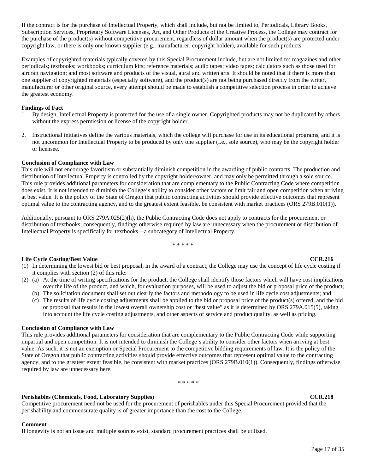If the contract is for the purchase of Intellectual Property, which shall include, but not be limited to, Periodicals, Library Books, Subscription Services, Proprietary Software Licenses, Art, and Other Products of the Creative Process, the College may contract for the purchase of the product(s) without competitive procurement, regardless of dollar amount when the product(s) are protected under copyright law, or there is only one known supplier (e.g., manufacturer, copyright holder), available for such products.

Examples of copyrighted materials typically covered by this Special Procurement include, but are not limited to: magazines and other periodicals; textbooks; workbooks; curriculum kits; reference materials; audio tapes; video tapes; calculators such as those used for aircraft navigation; and most software and products of the visual, aural and written arts. It should be noted that if there is more than one supplier of copyrighted materials (especially software), and the product(s) are not being purchased directly from the writer, manufacturer or other original source, every attempt should be made to establish a competitive selection process in order to achieve the greatest economy.

### **Findings of Fact**

- 1. By design, Intellectual Property is protected for the use of a single owner. Copyrighted products may not be duplicated by others without the express permission or license of the copyright holder.
- 2. Instructional initiatives define the various materials, which the college will purchase for use in its educational programs, and it is not uncommon for Intellectual Property to be produced by only one supplier (i.e., sole source), who may be the copyright holder or licensee.

#### **Conclusion of Compliance with Law**

This rule will not encourage favoritism or substantially diminish competition in the awarding of public contracts. The production and distribution of Intellectual Property is controlled by the copyright holder/owner, and may only be permitted through a sole source. This rule provides additional parameters for consideration that are complementary to the Public Contracting Code where competition does exist. It is not intended to diminish the College's ability to consider other factors or limit fair and open competition when arriving at best value. It is the policy of the State of Oregon that public contracting activities should provide effective outcomes that represent optimal value to the contracting agency, and to the greatest extent feasible, be consistent with market practices (ORS 279B.010(1)).

Additionally, pursuant to ORS 279A.025(2)(h), the Public Contracting Code does not apply to contracts for the procurement or distribution of textbooks; consequently, findings otherwise required by law are unnecessary when the procurement or distribution of Intellectual Property is specifically for textbooks—a subcategory of Intellectual Property.

\* \* \* \* \*

### **Life Cycle Costing/Best Value CCR.216 CCR.216**

- (1) In determining the lowest bid or best proposal, in the award of a contract, the College may use the concept of life cycle costing if it complies with section (2) of this rule:
- (2) (a) At the time of writing specifications for the product, the College shall identify those factors which will have cost implications over the life of the product, and which, for evaluation purposes, will be used to adjust the bid or proposal price of the product;
	- (b) The solicitation document shall set out clearly the factors and methodology to be used in life cycle cost adjustments; and
	- (c) The results of life cycle costing adjustments shall be applied to the bid or proposal price of the product(s) offered, and the bid or proposal that results in the lowest overall ownership cost or "best value" as it is determined by ORS 279A.015(5), taking into account the life cycle costing adjustments, and other aspects of service and product quality, as well as pricing.

#### **Conclusion of Compliance with Law**

This rule provides additional parameters for consideration that are complementary to the Public Contracting Code while supporting impartial and open competition. It is not intended to diminish the College's ability to consider other factors when arriving at best value. As such, it is not an exemption or Special Procurement to the competitive bidding requirements of law. It is the policy of the State of Oregon that public contracting activities should provide effective outcomes that represent optimal value to the contracting agency, and to the greatest extent feasible, be consistent with market practices (ORS 279B.010(1)). Consequently, findings otherwise required by law are unnecessary here.

\* \* \* \* \*

### **Perishables (Chemicals, Food, Laboratory Supplies) CCR.218**

Competitive procurement need not be used for the procurement of perishables under this Special Procurement provided that the perishability and commensurate quality is of greater importance than the cost to the College.

### **Comment**

If longevity is not an issue and multiple sources exist, standard procurement practices shall be utilized.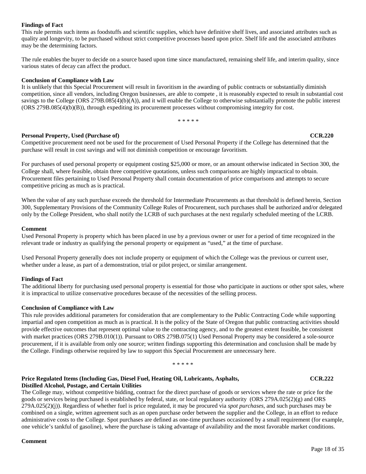### **Findings of Fact**

This rule permits such items as foodstuffs and scientific supplies, which have definitive shelf lives, and associated attributes such as quality and longevity, to be purchased without strict competitive processes based upon price. Shelf life and the associated attributes may be the determining factors.

The rule enables the buyer to decide on a source based upon time since manufactured, remaining shelf life, and interim quality, since various states of decay can affect the product.

#### **Conclusion of Compliance with Law**

It is unlikely that this Special Procurement will result in favoritism in the awarding of public contracts or substantially diminish competition, since all vendors, including Oregon businesses, are able to compete , it is reasonably expected to result in substantial cost savings to the College (ORS 279B.085(4)(b)(A)), and it will enable the College to otherwise substantially promote the public interest (ORS 279B.085(4)(b)(B)), through expediting its procurement processes without compromising integrity for cost.

\* \* \* \* \*

### **Personal Property, Used (Purchase of) CCR.220**

Competitive procurement need not be used for the procurement of Used Personal Property if the College has determined that the purchase will result in cost savings and will not diminish competition or encourage favoritism.

For purchases of used personal property or equipment costing \$25,000 or more, or an amount otherwise indicated in Section 300, the College shall, where feasible, obtain three competitive quotations, unless such comparisons are highly impractical to obtain. Procurement files pertaining to Used Personal Property shall contain documentation of price comparisons and attempts to secure competitive pricing as much as is practical.

When the value of any such purchase exceeds the threshold for Intermediate Procurements as that threshold is defined herein, Section 300, Supplementary Provisions of the Community College Rules of Procurement, such purchases shall be authorized and/or delegated only by the College President, who shall notify the LCRB of such purchases at the next regularly scheduled meeting of the LCRB.

#### **Comment**

Used Personal Property is property which has been placed in use by a previous owner or user for a period of time recognized in the relevant trade or industry as qualifying the personal property or equipment as "used," at the time of purchase.

Used Personal Property generally does not include property or equipment of which the College was the previous or current user, whether under a lease, as part of a demonstration, trial or pilot project, or similar arrangement.

### **Findings of Fact**

The additional liberty for purchasing used personal property is essential for those who participate in auctions or other spot sales, where it is impractical to utilize conservative procedures because of the necessities of the selling process.

### **Conclusion of Compliance with Law**

This rule provides additional parameters for consideration that are complementary to the Public Contracting Code while supporting impartial and open competition as much as is practical. It is the policy of the State of Oregon that public contracting activities should provide effective outcomes that represent optimal value to the contracting agency, and to the greatest extent feasible, be consistent with market practices (ORS 279B.010(1)). Pursuant to ORS 279B.075(1) Used Personal Property may be considered a sole-source procurement, if it is available from only one source; written findings supporting this determination and conclusion shall be made by the College. Findings otherwise required by law to support this Special Procurement are unnecessary here.

\* \* \* \* \*

#### **Price Regulated Items (Including Gas, Diesel Fuel, Heating Oil, Lubricants, Asphalts, CCR.222 Distilled Alcohol, Postage, and Certain Utilities**

The College may, without competitive bidding, contract for the direct purchase of goods or services where the rate or price for the goods or services being purchased is established by federal, state, or local regulatory authority (ORS 279A.025(2)(g) and ORS 279A.025(2)(j)). Regardless of whether fuel is price regulated, it may be procured via *spot purchases*, and such purchases may be combined on a single, written agreement such as an open purchase order between the supplier and the College, in an effort to reduce administrative costs to the College. Spot purchases are defined as one-time purchases occasioned by a small requirement (for example, one vehicle's tankful of gasoline), where the purchase is taking advantage of availability and the most favorable market conditions.

### **Comment**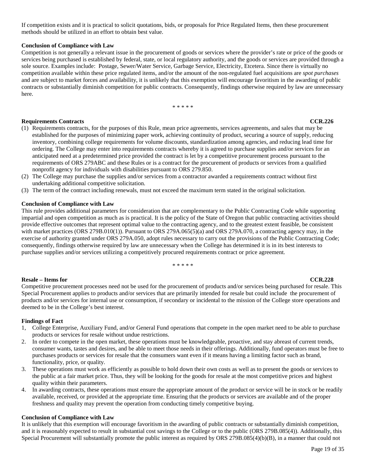If competition exists and it is practical to solicit quotations, bids, or proposals for Price Regulated Items, then these procurement methods should be utilized in an effort to obtain best value.

#### **Conclusion of Compliance with Law**

Competition is not generally a relevant issue in the procurement of goods or services where the provider's rate or price of the goods or services being purchased is established by federal, state, or local regulatory authority, and the goods or services are provided through a sole source. Examples include: Postage, Sewer/Water Service, Garbage Service, Electricity, Etcetera. Since there is virtually no competition available within these price regulated items, and/or the amount of the non-regulated fuel acquisitions are *spot purchases* and are subject to market forces and availability, it is unlikely that this exemption will encourage favoritism in the awarding of public contracts or substantially diminish competition for public contracts. Consequently, findings otherwise required by law are unnecessary here.

\* \* \* \* \*

#### **Requirements Contracts CCR.226**

- (1) Requirements contracts, for the purposes of this Rule, mean price agreements, services agreements, and sales that may be established for the purposes of minimizing paper work, achieving continuity of product, securing a source of supply, reducing inventory, combining college requirements for volume discounts, standardization among agencies, and reducing lead time for ordering. The College may enter into requirements contracts whereby it is agreed to purchase supplies and/or services for an anticipated need at a predetermined price provided the contract is let by a competitive procurement process pursuant to the requirements of ORS 279ABC and these Rules or is a contract for the procurement of products or services from a qualified nonprofit agency for individuals with disabilities pursuant to ORS 279.850.
- (2) The College may purchase the supplies and/or services from a contractor awarded a requirements contract without first undertaking additional competitive solicitation.
- (3) The term of the contract including renewals, must not exceed the maximum term stated in the original solicitation.

#### **Conclusion of Compliance with Law**

This rule provides additional parameters for consideration that are complementary to the Public Contracting Code while supporting impartial and open competition as much as is practical. It is the policy of the State of Oregon that public contracting activities should provide effective outcomes that represent optimal value to the contracting agency, and to the greatest extent feasible, be consistent with market practices (ORS 279B.010(1)). Pursuant to ORS 279A.065(5)(a) and ORS 279A.070, a contracting agency may, in the exercise of authority granted under ORS 279A.050, adopt rules necessary to carry out the provisions of the Public Contracting Code; consequently, findings otherwise required by law are unnecessary when the College has determined it is in its best interests to purchase supplies and/or services utilizing a competitively procured requirements contract or price agreement.

\* \* \* \* \*

### **Resale – Items for CCR.228**

Competitive procurement processes need not be used for the procurement of products and/or services being purchased for resale. This Special Procurement applies to products and/or services that are primarily intended for resale but could include the procurement of products and/or services for internal use or consumption, if secondary or incidental to the mission of the College store operations and deemed to be in the College's best interest.

### **Findings of Fact**

- 1, College Enterprise, Auxiliary Fund, and/or General Fund operations that compete in the open market need to be able to purchase products or services for resale without undue restrictions.
- 2. In order to compete in the open market, these operations must be knowledgeable, proactive, and stay abreast of current trends, consumer wants, tastes and desires, and be able to meet those needs in their offerings. Additionally, fund operators must be free to purchases products or services for resale that the consumers want even if it means having a limiting factor such as brand, functionality, price, or quality.
- 3. These operations must work as efficiently as possible to hold down their own costs as well as to present the goods or services to the public at a fair market price. Thus, they will be looking for the goods for resale at the most competitive prices and highest quality within their parameters.
- 4. In awarding contracts, these operations must ensure the appropriate amount of the product or service will be in stock or be readily available, received, or provided at the appropriate time. Ensuring that the products or services are available and of the proper freshness and quality may prevent the operation from conducting timely competitive buying.

#### **Conclusion of Compliance with Law**

It is unlikely that this exemption will encourage favoritism in the awarding of public contracts or substantially diminish competition, and it is reasonably expected to result in substantial cost savings to the College or to the public (ORS 279B.085(4)). Additionally, this Special Procurement will substantially promote the public interest as required by ORS 279B.085(4)(b)(B), in a manner that could not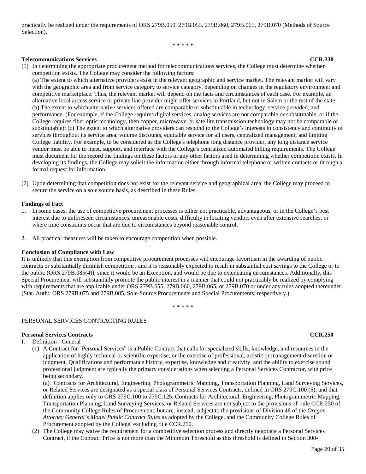practically be realized under the requirements of ORS 279B.050, 279B.055, 279B.060, 279B.065, 279B.070 (Methods of Source Selection).

\* \* \* \* \*

#### **Telecommunications Services CCR.230**

(1) In determining the appropriate procurement method for telecommunications services, the College must determine whether competition exists. The College may consider the following factors:

(a) The extent to which alternative providers exist in the relevant geographic and service market. The relevant market will vary with the geographic area and from service category to service category, depending on changes in the regulatory environment and competitive marketplace. Thus, the relevant market will depend on the facts and circumstances of each case. For example, an alternative local access service or private line provider might offer services in Portland, but not in Salem or the rest of the state; (b) The extent to which alternative services offered are comparable or substitutable in technology, service provided, and performance. (For example, if the College requires digital services, analog services are not comparable or substitutable, or if the College requires fiber optic technology, then copper, microwave, or satellite transmission technology may not be comparable or substitutable); (c) The extent to which alternative providers can respond to the College's interests in consistency and continuity of services throughout its service area, volume discounts, equitable service for all users, centralized management, and limiting College liability. For example, to be considered as the College's telephone long distance provider, any long distance service vendor must be able to meet, support, and interface with the College's centralized automated billing requirements. The College must document for the record the findings on these factors or any other factors used in determining whether competition exists. In developing its findings, the College may solicit the information either through informal telephone or written contacts or through a formal request for information.

(2) Upon determining that competition does not exist for the relevant service and geographical area, the College may proceed to secure the service on a sole source basis, as described in these Rules.

#### **Findings of Fact**

- 1. In some cases, the use of competitive procurement processes is either not practicable, advantageous, or in the College's best interest due to unforeseen circumstances, unreasonable costs, difficulty in locating vendors even after extensive searches, or where time constraints occur that are due to circumstances beyond reasonable control.
- 2. All practical measures will be taken to encourage competition when possible.

#### **Conclusion of Compliance with Law**

It is unlikely that this exemption from competitive procurement processes will encourage favoritism in the awarding of public contracts or substantially diminish competition , and it is reasonably expected to result in substantial cost savings to the College or to the public (ORS 279B.085(4)), since it would be an Exception, and would be due to extenuating circumstances. Additionally, this Special Procurement will substantially promote the public interest in a manner that could not practicably be realized by complying with requirements that are applicable under ORS 279B.055, 279B.060, 279B.065, or 279B.070 or under any rules adopted thereunder. (Stat. Auth: ORS 279B.075 and 279B.085, Sole-Source Procurements and Special Procurements, respectively.)

\* \* \* \* \*

#### PERSONAL SERVICES CONTRACTING RULES

#### **Personal Services Contracts CCR.250**

- I. Definition General
	- (1) A Contract for "Personal Services" is a Public Contract that calls for specialized skills, knowledge, and resources in the application of highly technical or scientific expertise, or the exercise of professional, artistic or management discretion or judgment. Qualifications and performance history, expertise, knowledge and creativity, and the ability to exercise sound professional judgment are typically the primary considerations when selecting a Personal Services Contractor, with price being secondary.

(a) Contracts for Architectural, Engineering, Photogrammetric Mapping, Transportation Planning, Land Surveying Services, or Related Services are designated as a special class of Personal Services Contracts, defined in ORS 279C.100 (5), and that definition applies only to ORS 279C.100 to 279C.125. Contracts for Architectural, Engineering, Photogrammetric Mapping, Transportation Planning, Land Surveying Services, or Related Services are not subject to the provisions of rule CCR.250 of the Community College Rules of Procurement, but are, instead, subject to the provisions of Division 48 of the *Oregon Attorney General's Model Public Contract Rules* as adopted by the College, and the Community College Rules of Procurement adopted by the College, excluding rule CCR.250.

(2) The College may waive the requirement for a competitive selection process and directly negotiate a Personal Services Contract, if the Contract Price is not more than the Minimum Threshold as this threshold is defined in Section 300-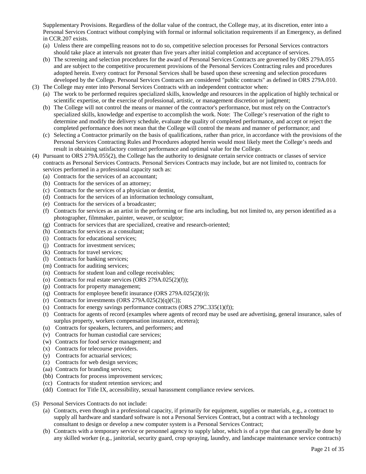Supplementary Provisions. Regardless of the dollar value of the contract, the College may, at its discretion, enter into a Personal Services Contract without complying with formal or informal solicitation requirements if an Emergency, as defined in CCR.207 exists.

- (a) Unless there are compelling reasons not to do so, competitive selection processes for Personal Services contractors should take place at intervals not greater than five years after initial completion and acceptance of services.
- (b) The screening and selection procedures for the award of Personal Services Contracts are governed by ORS 279A.055 and are subject to the competitive procurement provisions of the Personal Services Contracting rules and procedures adopted herein. Every contract for Personal Services shall be based upon these screening and selection procedures developed by the College. Personal Services Contracts are considered "public contracts" as defined in ORS 279A.010.
- (3) The College may enter into Personal Services Contracts with an independent contractor when:
	- (a) The work to be performed requires specialized skills, knowledge and resources in the application of highly technical or scientific expertise, or the exercise of professional, artistic, or management discretion or judgment;
	- (b) The College will not control the means or manner of the contractor's performance, but must rely on the Contractor's specialized skills, knowledge and expertise to accomplish the work. Note: The College's reservation of the right to determine and modify the delivery schedule, evaluate the quality of completed performance, and accept or reject the completed performance does not mean that the College will control the means and manner of performance; and
	- (c) Selecting a Contractor primarily on the basis of qualifications, rather than price, in accordance with the provisions of the Personal Services Contracting Rules and Procedures adopted herein would most likely meet the College's needs and result in obtaining satisfactory contract performance and optimal value for the College.
- (4) Pursuant to ORS 279A.055(2), the College has the authority to designate certain service contracts or classes of service contracts as Personal Services Contracts. Personal Services Contracts may include, but are not limited to, contracts for services performed in a professional capacity such as:
	- (a) Contracts for the services of an accountant;
	- (b) Contracts for the services of an attorney;
	- (c) Contracts for the services of a physician or dentist,
	- (d) Contracts for the services of an information technology consultant,
	- (e) Contracts for the services of a broadcaster;
	- (f) Contracts for services as an artist in the performing or fine arts including, but not limited to, any person identified as a photographer, filmmaker, painter, weaver, or sculptor;
	- (g) Contracts for services that are specialized, creative and research-oriented;
	- (h) Contracts for services as a consultant;
	- (i) Contracts for educational services;
	- (j) Contracts for investment services;
	- (k) Contracts for travel services;
	- (l) Contracts for banking services;
	- (m) Contracts for auditing services;
	- (n) Contracts for student loan and college receivables;
	- (o) Contracts for real estate services  $(ORS\ 279A.025(2)(f));$
	- (p) Contracts for property management;
	- (q) Contracts for employee benefit insurance (ORS 279A.025(2)(r));
	- (r) Contracts for investments  $(ORS 279A.025(2)(q)(C));$
	- (s) Contracts for energy savings performance contracts  $(ORS\ 279C.335(1)(f))$ ;
	- (t) Contracts for agents of record (examples where agents of record may be used are advertising, general insurance, sales of surplus property, workers compensation insurance, etcetera);
	- (u) Contracts for speakers, lecturers, and performers; and
	- (v) Contracts for human custodial care services;
	- (w) Contracts for food service management; and
	- (x) Contracts for telecourse providers.
	- (y) Contracts for actuarial services;
	- (z) Contracts for web design services;
	- (aa) Contracts for branding services;
	- (bb) Contracts for process improvement services;
	- (cc) Contracts for student retention services; and
	- (dd) Contract for Title IX, accessibility, sexual harassment compliance review services.
- (5) Personal Services Contracts do not include:
	- (a) Contracts, even though in a professional capacity, if primarily for equipment, supplies or materials, e.g., a contract to supply all hardware and standard software is not a Personal Services Contract, but a contract with a technology consultant to design or develop a new computer system is a Personal Services Contract;
	- (b) Contracts with a temporary service or personnel agency to supply labor, which is of a type that can generally be done by any skilled worker (e.g., janitorial, security guard, crop spraying, laundry, and landscape maintenance service contracts)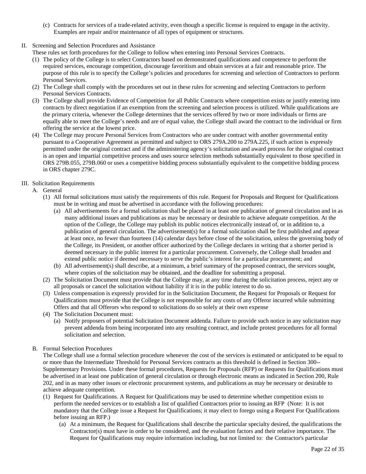- (c) Contracts for services of a trade-related activity, even though a specific license is required to engage in the activity. Examples are repair and/or maintenance of all types of equipment or structures.
- II. Screening and Selection Procedures and Assistance

These rules set forth procedures for the College to follow when entering into Personal Services Contracts.

- (1) The policy of the College is to select Contractors based on demonstrated qualifications and competence to perform the required services, encourage competition, discourage favoritism and obtain services at a fair and reasonable price. The purpose of this rule is to specify the College's policies and procedures for screening and selection of Contractors to perform Personal Services.
- (2) The College shall comply with the procedures set out in these rules for screening and selecting Contractors to perform Personal Services Contracts.
- (3) The College shall provide Evidence of Competition for all Public Contracts where competition exists or justify entering into contracts by direct negotiation if an exemption from the screening and selection process is utilized. While qualifications are the primary criteria, whenever the College determines that the services offered by two or more individuals or firms are equally able to meet the College's needs and are of equal value, the College shall award the contract to the individual or firm offering the service at the lowest price.
- (4) The College may procure Personal Services from Contractors who are under contract with another governmental entity pursuant to a Cooperative Agreement as permitted and subject to ORS 279A.200 to 279A.225, if such action is expressly permitted under the original contract and if the administering agency's solicitation and award process for the original contract is an open and impartial competitive process and uses source selection methods substantially equivalent to those specified in ORS 279B.055, 279B.060 or uses a competitive bidding process substantially equivalent to the competitive bidding process in ORS chapter 279C.
- III. Solicitation Requirements
	- A. General
		- (1) All formal solicitations must satisfy the requirements of this rule. Request for Proposals and Request for Qualifications must be in writing and must be advertised in accordance with the following procedures:
			- (a) All advertisements for a formal solicitation shall be placed in at least one publication of general circulation and in as many additional issues and publications as may be necessary or desirable to achieve adequate competition. At the option of the College, the College may publish its public notices electronically instead of, or in addition to, a publication of general circulation. The advertisement(s) for a formal solicitation shall be first published and appear at least once, no fewer than fourteen (14) calendar days before close of the solicitation, unless the governing body of the College, its President, or another officer authorized by the College declares in writing that a shorter period is deemed necessary in the public interest for a particular procurement. Conversely, the College shall broaden and extend public notice if deemed necessary to serve the public's interest for a particular procurement; and
			- (b) All advertisement(s) shall describe, at a minimum, a brief summary of the proposed contract, the services sought, where copies of the solicitation may be obtained, and the deadline for submitting a proposal.
		- (2) The Solicitation Document must provide that the College may, at any time during the solicitation process, reject any or all proposals or cancel the solicitation without liability if it is in the public interest to do so.
		- (3) Unless compensation is expressly provided for in the Solicitation Document, the Request for Proposals or Request for Qualifications must provide that the College is not responsible for any costs of any Offeror incurred while submitting Offers and that all Offerors who respond to solicitations do so solely at their own expense
		- (4) The Solicitation Document must:
			- (a) Notify proposers of potential Solicitation Document addenda. Failure to provide such notice in any solicitation may prevent addenda from being incorporated into any resulting contract, and include protest procedures for all formal solicitation and selection.
	- B. Formal Selection Procedures

The College shall use a formal selection procedure whenever the cost of the services is estimated or anticipated to be equal to or more than the Intermediate Threshold for Personal Services contracts as this threshold is defined in Section 300-- Supplementary Provisions. Under these formal procedures, Requests for Proposals (RFP) or Requests for Qualifications must be advertised in at least one publication of general circulation or through electronic means as indicated in Section 200, Rule 202, and in as many other issues or electronic procurement systems, and publications as may be necessary or desirable to achieve adequate competition.

- (1) Request for Qualifications. A Request for Qualifications may be used to determine whether competition exists to perform the needed services or to establish a list of qualified Contractors prior to issuing an RFP (Note: It is not mandatory that the College issue a Request for Qualifications; it may elect to forego using a Request For Qualifications before issuing an RFP.)
	- (a) At a minimum, the Request for Qualifications shall describe the particular specialty desired, the qualifications the Contractor(s) must have in order to be considered, and the evaluation factors and their relative importance. The Request for Qualifications may require information including, but not limited to: the Contractor's particular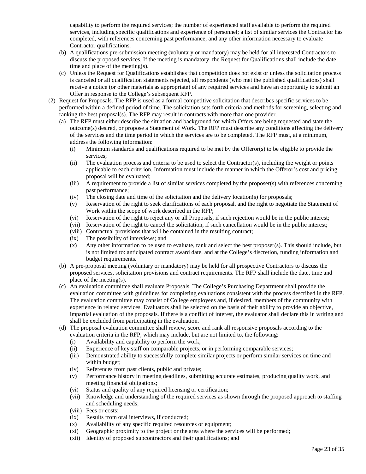capability to perform the required services; the number of experienced staff available to perform the required services, including specific qualifications and experience of personnel; a list of similar services the Contractor has completed, with references concerning past performance; and any other information necessary to evaluate Contractor qualifications.

- (b) A qualifications pre-submission meeting (voluntary or mandatory) may be held for all interested Contractors to discuss the proposed services. If the meeting is mandatory, the Request for Qualifications shall include the date, time and place of the meeting(s).
- (c) Unless the Request for Qualifications establishes that competition does not exist or unless the solicitation process is canceled or all qualification statements rejected, all respondents (who met the published qualifications) shall receive a notice (or other materials as appropriate) of any required services and have an opportunity to submit an Offer in response to the College's subsequent RFP.
- (2) Request for Proposals. The RFP is used as a formal competitive solicitation that describes specific services to be performed within a defined period of time. The solicitation sets forth criteria and methods for screening, selecting and ranking the best proposal(s). The RFP may result in contracts with more than one provider.
	- (a) The RFP must either describe the situation and background for which Offers are being requested and state the outcome(s) desired, or propose a Statement of Work. The RFP must describe any conditions affecting the delivery of the services and the time period in which the services are to be completed. The RFP must, at a minimum, address the following information:
		- (i) Minimum standards and qualifications required to be met by the Offeror(s) to be eligible to provide the services;
		- (ii) The evaluation process and criteria to be used to select the Contractor(s), including the weight or points applicable to each criterion. Information must include the manner in which the Offeror's cost and pricing proposal will be evaluated;
		- (iii) A requirement to provide a list of similar services completed by the proposer(s) with references concerning past performance;
		- (iv) The closing date and time of the solicitation and the delivery location(s) for proposals;
		- (v) Reservation of the right to seek clarifications of each proposal, and the right to negotiate the Statement of Work within the scope of work described in the RFP;
		- (vi) Reservation of the right to reject any or all Proposals, if such rejection would be in the public interest;
		- (vii) Reservation of the right to cancel the solicitation, if such cancellation would be in the public interest;
		- (viii) Contractual provisions that will be contained in the resulting contract;
		- (ix) The possibility of interviews; and
		- (x) Any other information to be used to evaluate, rank and select the best proposer(s). This should include, but is not limited to: anticipated contract award date, and at the College's discretion, funding information and budget requirements.
	- (b) A pre-proposal meeting (voluntary or mandatory) may be held for all prospective Contractors to discuss the proposed services, solicitation provisions and contract requirements. The RFP shall include the date, time and place of the meeting(s).
	- (c) An evaluation committee shall evaluate Proposals. The College's Purchasing Department shall provide the evaluation committee with guidelines for completing evaluations consistent with the process described in the RFP. The evaluation committee may consist of College employees and, if desired, members of the community with experience in related services. Evaluators shall be selected on the basis of their ability to provide an objective, impartial evaluation of the proposals. If there is a conflict of interest, the evaluator shall declare this in writing and shall be excluded from participating in the evaluation.
	- (d) The proposal evaluation committee shall review, score and rank all responsive proposals according to the evaluation criteria in the RFP, which may include, but are not limited to, the following:
		- (i) Availability and capability to perform the work;
		- (ii) Experience of key staff on comparable projects, or in performing comparable services;
		- (iii) Demonstrated ability to successfully complete similar projects or perform similar services on time and within budget;
		- (iv) References from past clients, public and private;
		- (v) Performance history in meeting deadlines, submitting accurate estimates, producing quality work, and meeting financial obligations;
		- (vi) Status and quality of any required licensing or certification;
		- (vii) Knowledge and understanding of the required services as shown through the proposed approach to staffing and scheduling needs;
		- (viii) Fees or costs;
		- (ix) Results from oral interviews, if conducted;
		- (x) Availability of any specific required resources or equipment;
		- (xi) Geographic proximity to the project or the area where the services will be performed;
		- (xii) Identity of proposed subcontractors and their qualifications; and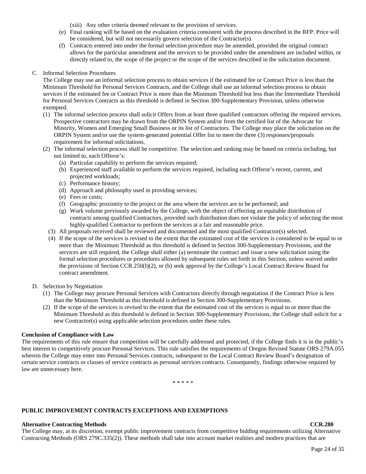(xiii) Any other criteria deemed relevant to the provision of services.

- (e) Final ranking will be based on the evaluation criteria consistent with the process described in the RFP. Price will be considered, but will not necessarily govern selection of the Contractor(s).
- (f) Contracts entered into under the formal selection procedure may be amended, provided the original contract allows for the particular amendment and the services to be provided under the amendment are included within, or directly related to, the scope of the project or the scope of the services described in the solicitation document.
- C. Informal Selection Procedures

The College may use an informal selection process to obtain services if the estimated fee or Contract Price is less than the Minimum Threshold for Personal Services Contracts, and the College shall use an informal selection process to obtain services if the estimated fee or Contract Price is more than the Minimum Threshold but less than the Intermediate Threshold for Personal Services Contracts as this threshold is defined in Section 300-Supplementary Provision, unless otherwise exempted.

- (1) The informal selection process shall solicit Offers from at least three qualified contractors offering the required services. Prospective contractors may be drawn from the ORPIN System and/or from the certified list of the Advocate for Minority, Women and Emerging Small Business or its list of Contractors. The College may place the solicitation on the ORPIN System and/or use the system-generated potential Offer list to meet the three (3) responses/proposals requirement for informal solicitations.
- (2) The informal selection process shall be competitive. The selection and ranking may be based on criteria including, but not limited to, each Offeror's:
	- (a) Particular capability to perform the services required;
	- (b) Experienced staff available to perform the services required, including each Offeror's recent, current, and projected workloads;
	- (c) Performance history;
	- (d) Approach and philosophy used in providing services;
	- (e) Fees or costs;
	- (f) Geographic proximity to the project or the area where the services are to be performed; and
	- (g) Work volume previously awarded by the College, with the object of effecting an equitable distribution of contracts among qualified Contractors, provided such distribution does not violate the policy of selecting the most highly-qualified Contractor to perform the services at a fair and reasonable price.
	- (3) All proposals received shall be reviewed and documented and the most qualified Contractor(s) selected.
	- (4) If the scope of the services is revised to the extent that the estimated cost of the services is considered to be equal to or more than the Minimum Threshold as this threshold is defined in Section 300-Supplementary Provisions, and the services are still required, the College shall either (a) terminate the contract and issue a new solicitation using the formal selection procedures or procedures allowed by subsequent rules set forth in this Section, unless waived under the provisions of Section CCR.250(I)(2), or (b) seek approval by the College's Local Contract Review Board for contract amendment.
- D. Selection by Negotiation
	- (1) The College may procure Personal Services with Contractors directly through negotiation if the Contract Price is less than the Minimum Threshold as this threshold is defined in Section 300-Supplementary Provisions.
	- (2) If the scope of the services is revised to the extent that the estimated cost of the services is equal to or more than the Minimum Threshold as this threshold is defined in Section 300-Supplementary Provisions, the College shall solicit for a new Contractor(s) using applicable selection procedures under these rules.

#### **Conclusion of Compliance with Law**

The requirements of this rule ensure that competition will be carefully addressed and protected, if the College finds it is in the public's best interest to competitively procure Personal Services. This rule satisfies the requirements of Oregon Revised Statute ORS 279A.055 wherein the College may enter into Personal Services contracts, subsequent to the Local Contract Review Board's designation of certain service contracts or classes of service contracts as personal services contracts. Consequently, findings otherwise required by law are unnecessary here.

\* \* \* \* \*

### **PUBLIC IMPROVEMENT CONTRACTS EXCEPTIONS AND EXEMPTIONS**

#### **Alternative Contracting Methods CCR.280**

The College may, at its discretion, exempt public improvement contracts from competitive bidding requirements utilizing Alternative Contracting Methods (ORS 279C.335(2)). These methods shall take into account market realities and modern practices that are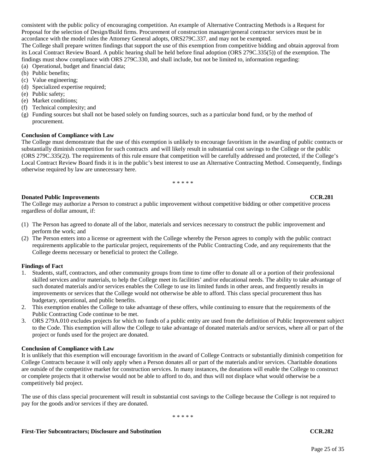consistent with the public policy of encouraging competition. An example of Alternative Contracting Methods is a Request for Proposal for the selection of Design/Build firms. Procurement of construction manager/general contractor services must be in accordance with the model rules the Attorney General adopts, ORS279C.337, and may not be exempted.

The College shall prepare written findings that support the use of this exemption from competitive bidding and obtain approval from its Local Contract Review Board. A public hearing shall be held before final adoption (ORS 279C.335(5)) of the exemption. The findings must show compliance with ORS 279C.330, and shall include, but not be limited to, information regarding: (a) Operational, budget and financial data;

- (b) Public benefits;
- (c) Value engineering;
- (d) Specialized expertise required;
- (e) Public safety;
- (e) Market conditions;
- (f) Technical complexity; and
- (g) Funding sources but shall not be based solely on funding sources, such as a particular bond fund, or by the method of procurement.

### **Conclusion of Compliance with Law**

The College must demonstrate that the use of this exemption is unlikely to encourage favoritism in the awarding of public contracts or substantially diminish competition for such contracts and will likely result in substantial cost savings to the College or the public (ORS 279C.335(2)). The requirements of this rule ensure that competition will be carefully addressed and protected, if the College's Local Contract Review Board finds it is in the public's best interest to use an Alternative Contracting Method. Consequently, findings otherwise required by law are unnecessary here.

\* \* \* \* \*

#### **Donated Public Improvements CCR.281**

The College may authorize a Person to construct a public improvement without competitive bidding or other competitive process regardless of dollar amount, if:

- (1) The Person has agreed to donate all of the labor, materials and services necessary to construct the public improvement and perform the work; and
- (2) The Person enters into a license or agreement with the College whereby the Person agrees to comply with the public contract requirements applicable to the particular project, requirements of the Public Contracting Code, and any requirements that the College deems necessary or beneficial to protect the College.

#### **Findings of Fact**

- 1. Students, staff, contractors, and other community groups from time to time offer to donate all or a portion of their professional skilled services and/or materials, to help the College meet its facilities' and/or educational needs. The ability to take advantage of such donated materials and/or services enables the College to use its limited funds in other areas, and frequently results in improvements or services that the College would not otherwise be able to afford. This class special procurement thus has budgetary, operational, and public benefits.
- 2. This exemption enables the College to take advantage of these offers, while continuing to ensure that the requirements of the Public Contracting Code continue to be met.
- 3. ORS 279A.010 excludes projects for which no funds of a public entity are used from the definition of Public Improvement subject to the Code. This exemption will allow the College to take advantage of donated materials and/or services, where all or part of the project or funds used for the project are donated.

#### **Conclusion of Compliance with Law**

It is unlikely that this exemption will encourage favoritism in the award of College Contracts or substantially diminish competition for College Contracts because it will only apply when a Person donates all or part of the materials and/or services. Charitable donations are outside of the competitive market for construction services. In many instances, the donations will enable the College to construct or complete projects that it otherwise would not be able to afford to do, and thus will not displace what would otherwise be a competitively bid project.

The use of this class special procurement will result in substantial cost savings to the College because the College is not required to pay for the goods and/or services if they are donated.

\* \* \* \* \*

#### **First-Tier Subcontractors; Disclosure and Substitution CCR.282**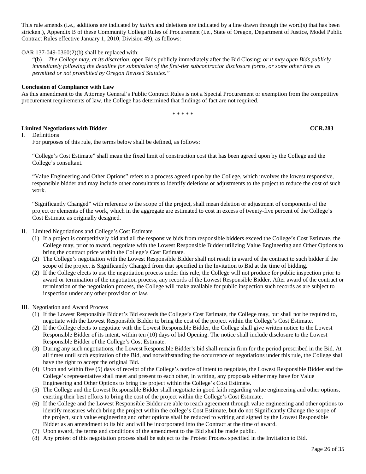This rule amends (i.e., additions are indicated by *italics* and deletions are indicated by a line drawn through the word(s) that has been stricken.), Appendix B of these Community College Rules of Procurement (i.e., State of Oregon, Department of Justice, Model Public Contract Rules effective January 1, 2010, Division 49), as follows:

#### OAR 137-049-0360(2)(b) shall be replaced with:

"(b) *The College may, at its discretion,* open Bids publicly immediately after the Bid Closing; *or it may open Bids publicly immediately following the deadline for submission of the first-tier subcontractor disclosure forms, or some other time as permitted or not prohibited by Oregon Revised Statutes."*

### **Conclusion of Compliance with Law**

As this amendment to the Attorney General's Public Contract Rules is not a Special Procurement or exemption from the competitive procurement requirements of law, the College has determined that findings of fact are not required.

\* \* \* \* \*

### **Limited Negotiations with Bidder CCR.283**

I. Definitions

For purposes of this rule, the terms below shall be defined, as follows:

"College's Cost Estimate" shall mean the fixed limit of construction cost that has been agreed upon by the College and the College's consultant.

"Value Engineering and Other Options" refers to a process agreed upon by the College, which involves the lowest responsive, responsible bidder and may include other consultants to identify deletions or adjustments to the project to reduce the cost of such work.

"Significantly Changed" with reference to the scope of the project, shall mean deletion or adjustment of components of the project or elements of the work, which in the aggregate are estimated to cost in excess of twenty-five percent of the College's Cost Estimate as originally designed.

II. Limited Negotiations and College's Cost Estimate

- (1) If a project is competitively bid and all the responsive bids from responsible bidders exceed the College's Cost Estimate, the College may, prior to award, negotiate with the Lowest Responsible Bidder utilizing Value Engineering and Other Options to bring the contract price within the College's Cost Estimate.
- (2) The College's negotiation with the Lowest Responsible Bidder shall not result in award of the contract to such bidder if the scope of the project is Significantly Changed from that specified in the Invitation to Bid at the time of bidding.
- (2) If the College elects to use the negotiation process under this rule, the College will not produce for public inspection prior to award or termination of the negotiation process, any records of the Lowest Responsible Bidder. After award of the contract or termination of the negotiation process, the College will make available for public inspection such records as are subject to inspection under any other provision of law.

### III. Negotiation and Award Process

- (1) If the Lowest Responsible Bidder's Bid exceeds the College's Cost Estimate, the College may, but shall not be required to, negotiate with the Lowest Responsible Bidder to bring the cost of the project within the College's Cost Estimate.
- (2) If the College elects to negotiate with the Lowest Responsible Bidder, the College shall give written notice to the Lowest Responsible Bidder of its intent, within ten (10) days of bid Opening. The notice shall include disclosure to the Lowest Responsible Bidder of the College's Cost Estimate.
- (3) During any such negotiations, the Lowest Responsible Bidder's bid shall remain firm for the period prescribed in the Bid. At all times until such expiration of the Bid, and notwithstanding the occurrence of negotiations under this rule, the College shall have the right to accept the original Bid.
- (4) Upon and within five (5) days of receipt of the College's notice of intent to negotiate, the Lowest Responsible Bidder and the College's representative shall meet and present to each other, in writing, any proposals either may have for Value Engineering and Other Options to bring the project within the College's Cost Estimate.
- (5) The College and the Lowest Responsible Bidder shall negotiate in good faith regarding value engineering and other options, exerting their best efforts to bring the cost of the project within the College's Cost Estimate.
- (6) If the College and the Lowest Responsible Bidder are able to reach agreement through value engineering and other options to identify measures which bring the project within the college's Cost Estimate, but do not Significantly Change the scope of the project, such value engineering and other options shall be reduced to writing and signed by the Lowest Responsible Bidder as an amendment to its bid and will be incorporated into the Contract at the time of award.
- (7) Upon award, the terms and conditions of the amendment to the Bid shall be made public.
- (8) Any protest of this negotiation process shall be subject to the Protest Process specified in the Invitation to Bid.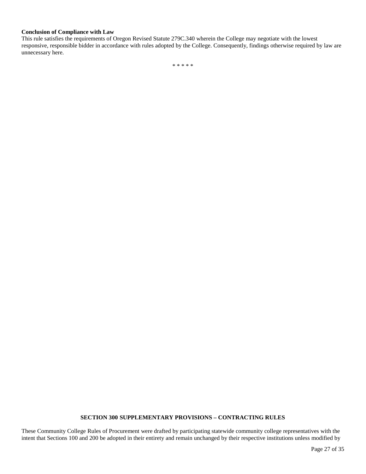### **Conclusion of Compliance with Law**

This rule satisfies the requirements of Oregon Revised Statute 279C.340 wherein the College may negotiate with the lowest responsive, responsible bidder in accordance with rules adopted by the College. Consequently, findings otherwise required by law are unnecessary here.

\* \* \* \* \*

### **SECTION 300 SUPPLEMENTARY PROVISIONS – CONTRACTING RULES**

These Community College Rules of Procurement were drafted by participating statewide community college representatives with the intent that Sections 100 and 200 be adopted in their entirety and remain unchanged by their respective institutions unless modified by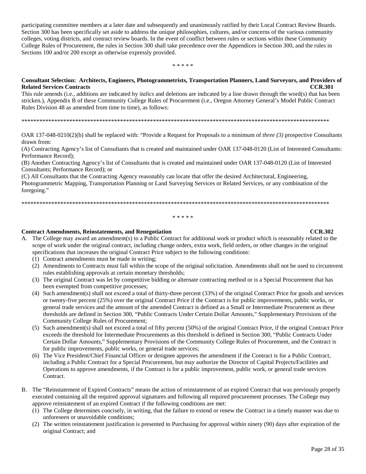participating committee members at a later date and subsequently and unanimously ratified by their Local Contract Review Boards. Section 300 has been specifically set aside to address the unique philosophies, cultures, and/or concerns of the various community colleges, voting districts, and contract review boards. In the event of conflict between rules or sections within these Community College Rules of Procurement, the rules in Section 300 shall take precedence over the Appendices in Section 300, and the rules in Sections 100 and/or 200 except as otherwise expressly provided.

\* \* \* \* \*

#### **Consultant Selection: Architects, Engineers, Photogrammetrists, Transportation Planners, Land Surveyors, and Providers of Related Services Contracts**

This rule amends (i.e., additions are indicated by *italics* and deletions are indicated by a line drawn through the word(s) that has been stricken.), Appendix B of these Community College Rules of Procurement (i.e., Oregon Attorney General's Model Public Contract Rules Division 48 as amended from time to time), as follows:

\*\*\*\*\*\*\*\*\*\*\*\*\*\*\*\*\*\*\*\*\*\*\*\*\*\*\*\*\*\*\*\*\*\*\*\*\*\*\*\*\*\*\*\*\*\*\*\*\*\*\*\*\*\*\*\*\*\*\*\*\*\*\*\*\*\*\*\*\*\*\*\*\*\*\*\*\*\*\*\*\*\*\*\*\*\*\*\*\*\*\*\*\*\*\*\*\*\*\*\*\*\*\*

OAR 137-048-0210(2)(b) shall be replaced with: "Provide a Request for Proposals to a minimum of *three (3)* prospective Consultants drawn from:

(A) Contracting Agency's list of Consultants that is created and maintained under OAR 137-048-0120 (List of Interested Consultants: Performance Record);

(B) Another Contracting Agency's list of Consultants that is created and maintained under OAR 137-048-0120 (List of Interested Consultants; Performance Record); or

(C) All Consultants that the Contracting Agency reasonably can locate that offer the desired Architectural, Engineering, Photogrammetric Mapping, Transportation Planning or Land Surveying Services or Related Services, or any combination of the foregoing."

\*\*\*\*\*\*\*\*\*\*\*\*\*\*\*\*\*\*\*\*\*\*\*\*\*\*\*\*\*\*\*\*\*\*\*\*\*\*\*\*\*\*\*\*\*\*\*\*\*\*\*\*\*\*\*\*\*\*\*\*\*\*\*\*\*\*\*\*\*\*\*\*\*\*\*\*\*\*\*\*\*\*\*\*\*\*\*\*\*\*\*\*\*\*\*\*\*\*\*\*\*\*\*

\* \* \* \* \*

#### **Contract Amendments, Reinstatements, and Renegotiation CCR.302**

- A. The College may award an amendment(s) to a Public Contract for additional work or product which is reasonably related to the scope of work under the original contract, including change orders, extra work, field orders, or other changes in the original specifications that increases the original Contract Price subject to the following conditions:
	- (1) Contract amendments must be made in writing;
	- (2) Amendments to Contracts must fall within the scope of the original solicitation. Amendments shall not be used to circumvent rules establishing approvals at certain monetary thresholds;
	- (3) The original Contract was let by competitive bidding or alternate contracting method or is a Special Procurement that has been exempted from competitive processes;
	- (4) Such amendment(s) shall not exceed a total of thirty-three percent (33%) of the original Contract Price for goods and services or twenty-five percent (25%) over the original Contract Price if the Contract is for public improvements, public works, or general trade services and the amount of the amended Contract is defined as a Small or Intermediate Procurement as these thresholds are defined in Section 300, "Public Contracts Under Certain Dollar Amounts," Supplementary Provisions of the Community College Rules of Procurement;
	- (5) Such amendment(s) shall not exceed a total of fifty percent (50%) of the original Contract Price, if the original Contract Price exceeds the threshold for Intermediate Procurements as this threshold is defined in Section 300, "Public Contracts Under Certain Dollar Amounts," Supplementary Provisions of the Community College Rules of Procurement, and the Contract is for public improvements, public works, or general trade services;
	- (6) The Vice President/Chief Financial Officer or designee approves the amendment if the Contract is for a Public Contract, including a Public Contract for a Special Procurement, but may authorize the Director of Capital Projects/Facilities and Operations to approve amendments, if the Contract is for a public improvement, public work, or general trade services Contract.
- B. The "Reinstatement of Expired Contracts" means the action of reinstatement of an expired Contract that was previously properly executed containing all the required approval signatures and following all required procurement processes. The College may approve reinstatement of an expired Contract if the following conditions are met:
	- (1) The College determines concisely, in writing, that the failure to extend or renew the Contract in a timely manner was due to unforeseen or unavoidable conditions;
	- (2) The written reinstatement justification is presented to Purchasing for approval within ninety (90) days after expiration of the original Contract; and

Page 28 of 35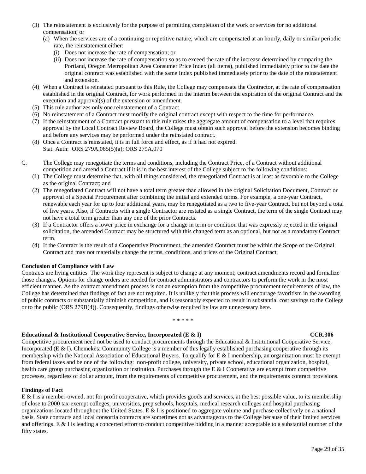- (3) The reinstatement is exclusively for the purpose of permitting completion of the work or services for no additional compensation; or
	- (a) When the services are of a continuing or repetitive nature, which are compensated at an hourly, daily or similar periodic rate, the reinstatement either:
		- (i) Does not increase the rate of compensation; or
		- (ii) Does not increase the rate of compensation so as to exceed the rate of the increase determined by comparing the Portland, Oregon Metropolitan Area Consumer Price Index (all items), published immediately prior to the date the original contract was established with the same Index published immediately prior to the date of the reinstatement and extension.
- (4) When a Contract is reinstated pursuant to this Rule, the College may compensate the Contractor, at the rate of compensation established in the original Contract, for work performed in the interim between the expiration of the original Contract and the execution and approval(s) of the extension or amendment.
- (5) This rule authorizes only one reinstatement of a Contract.
- (6) No reinstatement of a Contract must modify the original contract except with respect to the time for performance.
- (7) If the reinstatement of a Contract pursuant to this rule raises the aggregate amount of compensation to a level that requires approval by the Local Contract Review Board, the College must obtain such approval before the extension becomes binding and before any services may be performed under the reinstated contract.
- (8) Once a Contract is reinstated, it is in full force and effect, as if it had not expired. Stat. Auth: ORS 279A.065(5)(a); ORS 279A.070
- C. The College may renegotiate the terms and conditions, including the Contract Price, of a Contract without additional competition and amend a Contract if it is in the best interest of the College subject to the following conditions:
	- (1) The College must determine that, with all things considered, the renegotiated Contract is at least as favorable to the College as the original Contract; and
	- (2) The renegotiated Contract will not have a total term greater than allowed in the original Solicitation Document, Contract or approval of a Special Procurement after combining the initial and extended terms. For example, a one-year Contract, renewable each year for up to four additional years, may be renegotiated as a two to five-year Contract, but not beyond a total of five years. Also, if Contracts with a single Contractor are restated as a single Contract, the term of the single Contract may not have a total term greater than any one of the prior Contracts.
	- (3) If a Contractor offers a lower price in exchange for a change in term or condition that was expressly rejected in the original solicitation, the amended Contract may be structured with this changed term as an optional, but not as a mandatory Contract term.
	- (4) If the Contract is the result of a Cooperative Procurement, the amended Contract must be within the Scope of the Original Contract and may not materially change the terms, conditions, and prices of the Original Contract.

#### **Conclusion of Compliance with Law**

Contracts are living entities. The work they represent is subject to change at any moment; contract amendments record and formalize those changes. Options for change orders are needed for contract administrators and contractors to perform the work in the most efficient manner. As the contract amendment process is not an exemption from the competitive procurement requirements of law, the College has determined that findings of fact are not required. It is unlikely that this process will encourage favoritism in the awarding of public contracts or substantially diminish competition, and is reasonably expected to result in substantial cost savings to the College or to the public (ORS 279B(4)). Consequently, findings otherwise required by law are unnecessary here.

#### \* \* \* \* \*

### **Educational & Institutional Cooperative Service, Incorporated (E & I) CCR.306 CCR.306**

Competitive procurement need not be used to conduct procurements through the Educational & Institutional Cooperative Service, Incorporated (E & I). Chemeketa Community College is a member of this legally established purchasing cooperative through its membership with the National Association of Educational Buyers. To qualify for E & I membership, an organization must be exempt from federal taxes and be one of the following: non-profit college, university, private school, educational organization, hospital, health care group purchasing organization or institution. Purchases through the  $E \& B$  Cooperative are exempt from competitive processes, regardless of dollar amount, from the requirements of competitive procurement, and the requirements contract provisions.

#### **Findings of Fact**

E & I is a member-owned, not for profit cooperative, which provides goods and services, at the best possible value, to its membership of close to 2000 tax-exempt colleges, universities, prep schools, hospitals, medical research colleges and hospital purchasing organizations located throughout the United States. E & I is positioned to aggregate volume and purchase collectively on a national basis. State contracts and local consortia contracts are sometimes not as advantageous to the College because of their limited services and offerings. E & I is leading a concerted effort to conduct competitive bidding in a manner acceptable to a substantial number of the fifty states.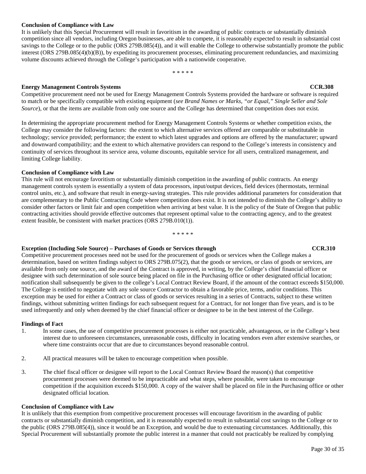### **Conclusion of Compliance with Law**

It is unlikely that this Special Procurement will result in favoritism in the awarding of public contracts or substantially diminish competition since all vendors, including Oregon businesses, are able to compete, it is reasonably expected to result in substantial cost savings to the College or to the public (ORS 279B.085(4)), and it will enable the College to otherwise substantially promote the public interest (ORS 279B.085(4)(b)(B)), by expediting its procurement processes, eliminating procurement redundancies, and maximizing volume discounts achieved through the College's participation with a nationwide cooperative.

#### \* \* \* \* \*

#### **Energy Management Controls Systems CCR.308**

Competitive procurement need not be used for Energy Management Controls Systems provided the hardware or software is required to match or be specifically compatible with existing equipment (*see Brand Names or Marks, "or Equal," Single Seller and Sole Source*), or that the items are available from only one source and the College has determined that competition does not exist.

In determining the appropriate procurement method for Energy Management Controls Systems or whether competition exists, the College may consider the following factors: the extent to which alternative services offered are comparable or substitutable in technology; service provided; performance; the extent to which latest upgrades and options are offered by the manufacturer; upward and downward compatibility; and the extent to which alternative providers can respond to the College's interests in consistency and continuity of services throughout its service area, volume discounts, equitable service for all users, centralized management, and limiting College liability.

#### **Conclusion of Compliance with Law**

This rule will not encourage favoritism or substantially diminish competition in the awarding of public contracts. An energy management controls system is essentially a system of data processors, input/output devices, field devices (thermostats, terminal control units, etc.), and software that result in energy-saving strategies. This rule provides additional parameters for consideration that are complementary to the Public Contracting Code where competition does exist. It is not intended to diminish the College's ability to consider other factors or limit fair and open competition when arriving at best value. It is the policy of the State of Oregon that public contracting activities should provide effective outcomes that represent optimal value to the contracting agency, and to the greatest extent feasible, be consistent with market practices (ORS 279B.010(1)).

#### \* \* \* \* \*

### **Exception (Including Sole Source) – Purchases of Goods or Services through CCR.310**

Competitive procurement processes need not be used for the procurement of goods or services when the College makes a determination, based on written findings subject to ORS 279B.075(2), that the goods or services, or class of goods or services, are available from only one source, and the award of the Contract is approved, in writing, by the College's chief financial officer or designee with such determination of sole source being placed on file in the Purchasing office or other designated official location; notification shall subsequently be given to the college's Local Contract Review Board, if the amount of the contract exceeds \$150,000. The College is entitled to negotiate with any sole source Contractor to obtain a favorable price, terms, and/or conditions. This exception may be used for either a Contract or class of goods or services resulting in a series of Contracts, subject to these written findings, without submitting written findings for each subsequent request for a Contract, for not longer than five years, and is to be used infrequently and only when deemed by the chief financial officer or designee to be in the best interest of the College.

#### **Findings of Fact**

- 1. In some cases, the use of competitive procurement processes is either not practicable, advantageous, or in the College's best interest due to unforeseen circumstances, unreasonable costs, difficulty in locating vendors even after extensive searches, or where time constraints occur that are due to circumstances beyond reasonable control.
- 2. All practical measures will be taken to encourage competition when possible.
- 3. The chief fiscal officer or designee will report to the Local Contract Review Board the reason(s) that competitive procurement processes were deemed to be impracticable and what steps, where possible, were taken to encourage competition if the acquisition exceeds \$150,000. A copy of the waiver shall be placed on file in the Purchasing office or other designated official location.

#### **Conclusion of Compliance with Law**

It is unlikely that this exemption from competitive procurement processes will encourage favoritism in the awarding of public contracts or substantially diminish competition, and it is reasonably expected to result in substantial cost savings to the College or to the public (ORS 279B.085(4)), since it would be an Exception, and would be due to extenuating circumstances. Additionally, this Special Procurement will substantially promote the public interest in a manner that could not practicably be realized by complying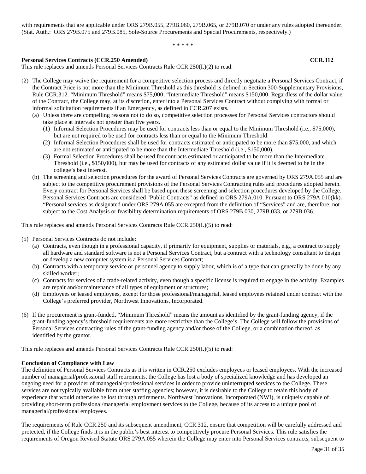with requirements that are applicable under ORS 279B.055, 279B.060, 279B.065, or 279B.070 or under any rules adopted thereunder. (Stat. Auth.: ORS 279B.075 and 279B.085, Sole-Source Procurements and Special Procurements, respectively.)

\* \* \* \* \*

#### **Personal Services Contracts (CCR.250 Amended) CCR.312**

This rule replaces and amends Personal Services Contracts Rule CCR.250(I.)(2) to read:

- (2) The College may waive the requirement for a competitive selection process and directly negotiate a Personal Services Contract, if the Contract Price is not more than the Minimum Threshold as this threshold is defined in Section 300-Supplementary Provisions, Rule CCR.312. "Minimum Threshold" means \$75,000; "Intermediate Threshold" means \$150,000. Regardless of the dollar value of the Contract, the College may, at its discretion, enter into a Personal Services Contract without complying with formal or informal solicitation requirements if an Emergency, as defined in CCR.207 exists.
	- (a) Unless there are compelling reasons not to do so, competitive selection processes for Personal Services contractors should take place at intervals not greater than five years.
		- (1) Informal Selection Procedures may be used for contracts less than or equal to the Minimum Threshold (i.e., \$75,000), but are not required to be used for contracts less than or equal to the Minimum Threshold.
		- (2) Informal Selection Procedures shall be used for contracts estimated or anticipated to be more than \$75,000, and which are not estimated or anticipated to be more than the Intermediate Threshold (i.e., \$150,000).
		- (3) Formal Selection Procedures shall be used for contracts estimated or anticipated to be more than the Intermediate Threshold (i.e., \$150,000), but may be used for contracts of any estimated dollar value if it is deemed to be in the college's best interest.
	- (b) The screening and selection procedures for the award of Personal Services Contracts are governed by ORS 279A.055 and are subject to the competitive procurement provisions of the Personal Services Contracting rules and procedures adopted herein. Every contract for Personal Services shall be based upon these screening and selection procedures developed by the College. Personal Services Contracts are considered "Public Contracts" as defined in ORS 279A.010. Pursuant to ORS 279A.010(kk). "Personal services as designated under ORS 279A.055 are excepted from the definition of "Services" and are, therefore, not subject to the Cost Analysis or feasibility determination requirements of ORS 279B.030, 279B.033, or 279B.036.

This rule replaces and amends Personal Services Contracts Rule CCR.250(I.)(5) to read:

(5) Personal Services Contracts do not include:

- (a) Contracts, even though in a professional capacity, if primarily for equipment, supplies or materials, e.g., a contract to supply all hardware and standard software is not a Personal Services Contract, but a contract with a technology consultant to design or develop a new computer system is a Personal Services Contract;
- (b) Contracts with a temporary service or personnel agency to supply labor, which is of a type that can generally be done by any skilled worker;
- (c) Contracts for services of a trade-related activity, even though a specific license is required to engage in the activity. Examples are repair and/or maintenance of all types of equipment or structures;
- (d) Employees or leased employees, except for those professional/managerial, leased employees retained under contract with the College's preferred provider, Northwest Innovations, Incorporated.
- (6) If the procurement is grant-funded, "Minimum Threshold" means the amount as identified by the grant-funding agency, if the grant-funding agency's threshold requirements are more restrictive than the College's. The College will follow the provisions of Personal Services contracting rules of the grant-funding agency and/or those of the College, or a combination thereof, as identified by the grantor.

This rule replaces and amends Personal Services Contracts Rule CCR.250(I.)(5) to read:

#### **Conclusion of Compliance with Law**

The definition of Personal Services Contracts as it is written in CCR.250 excludes employees or leased employees. With the increased number of managerial/professional staff retirements, the College has lost a body of specialized knowledge and has developed an ongoing need for a provider of managerial/professional services in order to provide uninterrupted services to the College. These services are not typically available from other staffing agencies; however, it is desirable to the College to retain this body of experience that would otherwise be lost through retirements. Northwest Innovations, Incorporated (NWI), is uniquely capable of providing short-term professional/managerial employment services to the College, because of its access to a unique pool of managerial/professional employees.

The requirements of Rule CCR.250 and its subsequent amendment, CCR.312, ensure that competition will be carefully addressed and protected, if the College finds it is in the public's best interest to competitively procure Personal Services. This rule satisfies the requirements of Oregon Revised Statute ORS 279A.055 wherein the College may enter into Personal Services contracts, subsequent to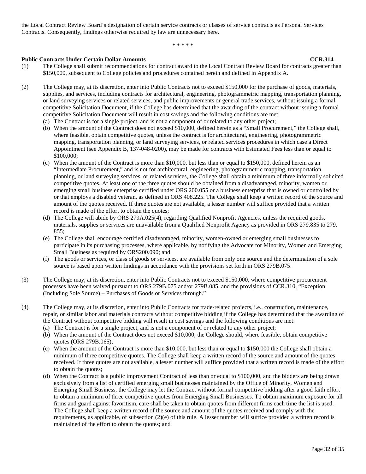the Local Contract Review Board's designation of certain service contracts or classes of service contracts as Personal Services Contracts. Consequently, findings otherwise required by law are unnecessary here.

\* \* \* \* \*

- **Public Contracts Under Certain Dollar Amounts**<br>
(1) The College shall submit recommendations for contract award to the Local Contract Review Board for contracts greater the The College shall submit recommendations for contract award to the Local Contract Review Board for contracts greater than \$150,000, subsequent to College policies and procedures contained herein and defined in Appendix A.
- (2) The College may, at its discretion, enter into Public Contracts not to exceed \$150,000 for the purchase of goods, materials, supplies, and services, including contracts for architectural, engineering, photogrammetric mapping, transportation planning, or land surveying services or related services, and public improvements or general trade services, without issuing a formal competitive Solicitation Document, if the College has determined that the awarding of the contract without issuing a formal competitive Solicitation Document will result in cost savings and the following conditions are met:
	- (a) The Contract is for a single project, and is not a component of or related to any other project;
	- (b) When the amount of the Contract does not exceed \$10,000, defined herein as a "Small Procurement," the College shall, where feasible, obtain competitive quotes, unless the contract is for architectural, engineering, photogrammetric mapping, transportation planning, or land surveying services, or related services procedures in which case a Direct Appointment (see Appendix B, 137-048-0200), may be made for contracts with Estimated Fees less than or equal to \$100,000;
	- (c) When the amount of the Contract is more than \$10,000, but less than or equal to \$150,000, defined herein as an "Intermediate Procurement," and is not for architectural, engineering, photogrammetric mapping, transportation planning, or land surveying services, or related services, the College shall obtain a minimum of three informally solicited competitive quotes. At least one of the three quotes should be obtained from a disadvantaged, minority, women or emerging small business enterprise certified under ORS 200.055 or a business enterprise that is owned or controlled by or that employs a disabled veteran, as defined in ORS 408.225. The College shall keep a written record of the source and amount of the quotes received. If three quotes are not available, a lesser number will suffice provided that a written record is made of the effort to obtain the quotes;
	- (d) The College will abide by ORS 279A.025(4), regarding Qualified Nonprofit Agencies, unless the required goods, materials, supplies or services are unavailable from a Qualified Nonprofit Agency as provided in ORS 279.835 to 279. 855;
	- (e) The College shall encourage certified disadvantaged, minority, women-owned or emerging small businesses to participate in its purchasing processes, where applicable, by notifying the Advocate for Minority, Women and Emerging Small Business as required by ORS200.090; and
	- (f) The goods or services, or class of goods or services, are available from only one source and the determination of a sole source is based upon written findings in accordance with the provisions set forth in ORS 279B.075.
- (3) The College may, at its discretion, enter into Public Contracts not to exceed \$150,000, where competitive procurement processes have been waived pursuant to ORS 279B.075 and/or 279B.085, and the provisions of CCR.310, "Exception (Including Sole Source) – Purchases of Goods or Services through."
- (4) The College may, at its discretion, enter into Public Contracts for trade-related projects, i.e., construction, maintenance, repair, or similar labor and materials contracts without competitive bidding if the College has determined that the awarding of the Contract without competitive bidding will result in cost savings and the following conditions are met:
	- (a) The Contract is for a single project, and is not a component of or related to any other project;
	- (b) When the amount of the Contract does not exceed \$10,000, the College should, where feasible, obtain competitive quotes (ORS 279B.065);
	- (c) When the amount of the Contract is more than \$10,000, but less than or equal to \$150,000 the College shall obtain a minimum of three competitive quotes. The College shall keep a written record of the source and amount of the quotes received. If three quotes are not available, a lesser number will suffice provided that a written record is made of the effort to obtain the quotes;
	- (d) When the Contract is a public improvement Contract of less than or equal to \$100,000, and the bidders are being drawn exclusively from a list of certified emerging small businesses maintained by the Office of Minority, Women and Emerging Small Business, the College may let the Contract without formal competitive bidding after a good faith effort to obtain a minimum of three competitive quotes from Emerging Small Businesses. To obtain maximum exposure for all firms and guard against favoritism, care shall be taken to obtain quotes from different firms each time the list is used. The College shall keep a written record of the source and amount of the quotes received and comply with the requirements, as applicable, of subsection (2)(e) of this rule. A lesser number will suffice provided a written record is maintained of the effort to obtain the quotes; and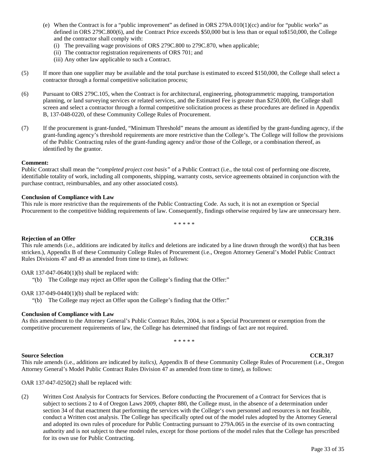- (e) When the Contract is for a "public improvement" as defined in ORS 279A.010(1)(cc) and/or for "public works" as defined in ORS 279C.800(6), and the Contract Price exceeds \$50,000 but is less than or equal to\$150,000, the College and the contractor shall comply with:
	- (i) The prevailing wage provisions of ORS 279C.800 to 279C.870, when applicable;
	- (ii) The contractor registration requirements of ORS 701; and
	- (iii) Any other law applicable to such a Contract.
- (5) If more than one supplier may be available and the total purchase is estimated to exceed \$150,000*,* the College shall select a contractor through a formal competitive solicitation process;
- (6) Pursuant to ORS 279C.105, when the Contract is for architectural, engineering, photogrammetric mapping, transportation planning, or land surveying services or related services, and the Estimated Fee is greater than \$250,000, the College shall screen and select a contractor through a formal competitive solicitation process as these procedures are defined in Appendix B, 137-048-0220, of these Community College Rules of Procurement.
- (7) If the procurement is grant-funded, "Minimum Threshold" means the amount as identified by the grant-funding agency, if the grant-funding agency's threshold requirements are more restrictive than the College's. The College will follow the provisions of the Public Contracting rules of the grant-funding agency and/or those of the College, or a combination thereof, as identified by the grantor.

#### **Comment:**

Public Contract shall mean the "*completed project cost basis"* of a Public Contract (i.e., the total cost of performing one discrete, identifiable totality of work, including all components, shipping, warranty costs, service agreements obtained in conjunction with the purchase contract, reimbursables, and any other associated costs).

#### **Conclusion of Compliance with Law**

This rule is more restrictive than the requirements of the Public Contracting Code. As such, it is not an exemption or Special Procurement to the competitive bidding requirements of law. Consequently, findings otherwise required by law are unnecessary here.

\* \* \* \* \*

#### **Rejection of an Offer CCR.316**

This rule amends (i.e., additions are indicated by *italics* and deletions are indicated by a line drawn through the word(s) that has been stricken.), Appendix B of these Community College Rules of Procurement (i.e., Oregon Attorney General's Model Public Contract Rules Divisions 47 and 49 as amended from time to time), as follows:

OAR 137-047-0640(1)(b) shall be replaced with:

"(b) The College may reject an Offer upon the College's finding that the Offer:"

OAR 137-049-0440(1)(b) shall be replaced with:

"(b) The College may reject an Offer upon the College's finding that the Offer:"

#### **Conclusion of Compliance with Law**

As this amendment to the Attorney General's Public Contract Rules, 2004, is not a Special Procurement or exemption from the competitive procurement requirements of law, the College has determined that findings of fact are not required.

\* \* \* \* \*

#### **Source Selection CCR.317**

This rule amends (i.e., additions are indicated by *italics),* Appendix B of these Community College Rules of Procurement (i.e., Oregon Attorney General's Model Public Contract Rules Division 47 as amended from time to time), as follows:

OAR 137-047-0250(2) shall be replaced with:

(2) Written Cost Analysis for Contracts for Services. Before conducting the Procurement of a Contract for Services that is subject to sections 2 to 4 of Oregon Laws 2009, chapter 880, the College must, in the absence of a determination under section 34 of that enactment that performing the services with the College's own personnel and resources is not feasible, conduct a Written cost analysis. The College has specifically opted out of the model rules adopted by the Attorney General and adopted its own rules of procedure for Public Contracting pursuant to 279A.065 in the exercise of its own contracting authority and is not subject to these model rules, except for those portions of the model rules that the College has prescribed for its own use for Public Contracting.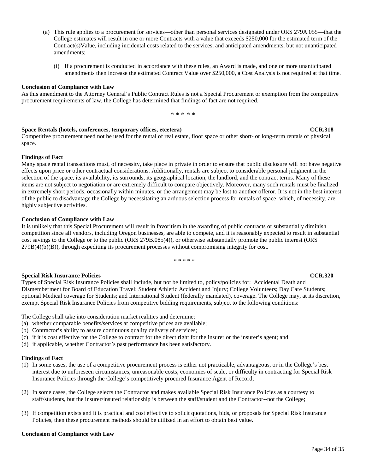- (a) This rule applies to a procurement for services—other than personal services designated under ORS 279A.055—that the College estimates will result in one or more Contracts with a value that exceeds \$250,000 for the estimated term of the Contract(s)Value, including incidental costs related to the services, and anticipated amendments, but not unanticipated amendments;
	- (i) If a procurement is conducted in accordance with these rules, an Award is made, and one or more unanticipated amendments then increase the estimated Contract Value over \$250,000, a Cost Analysis is not required at that time.

#### **Conclusion of Compliance with Law**

As this amendment to the Attorney General's Public Contract Rules is not a Special Procurement or exemption from the competitive procurement requirements of law, the College has determined that findings of fact are not required.

\* \* \* \* \*

#### **Space Rentals (hotels, conferences, temporary offices, etcetera) CCR.318**

Competitive procurement need not be used for the rental of real estate, floor space or other short- or long-term rentals of physical space.

#### **Findings of Fact**

Many space rental transactions must, of necessity, take place in private in order to ensure that public disclosure will not have negative effects upon price or other contractual considerations. Additionally, rentals are subject to considerable personal judgment in the selection of the space, its availability, its surrounds, its geographical location, the landlord, and the contract terms. Many of these items are not subject to negotiation or are extremely difficult to compare objectively. Moreover, many such rentals must be finalized in extremely short periods, occasionally within minutes, or the arrangement may be lost to another offeror. It is not in the best interest of the public to disadvantage the College by necessitating an arduous selection process for rentals of space, which, of necessity, are highly subjective activities.

#### **Conclusion of Compliance with Law**

It is unlikely that this Special Procurement will result in favoritism in the awarding of public contracts or substantially diminish competition since all vendors, including Oregon businesses, are able to compete, and it is reasonably expected to result in substantial cost savings to the College or to the public (ORS 279B.085(4)), or otherwise substantially promote the public interest (ORS 279B(4)(b)(B)), through expediting its procurement processes without compromising integrity for cost.

\* \* \* \* \*

### **Special Risk Insurance Policies CCR.320**

### Types of Special Risk Insurance Policies shall include, but not be limited to, policy/policies for: Accidental Death and Dismemberment for Board of Education Travel; Student Athletic Accident and Injury; College Volunteers; Day Care Students; optional Medical coverage for Students; and International Student (federally mandated), coverage. The College may, at its discretion, exempt Special Risk Insurance Policies from competitive bidding requirements, subject to the following conditions:

- The College shall take into consideration market realities and determine:
- (a) whether comparable benefits/services at competitive prices are available;
- (b) Contractor's ability to assure continuous quality delivery of services;
- (c) if it is cost effective for the College to contract for the direct right for the insurer or the insurer's agent; and
- (d) if applicable, whether Contractor's past performance has been satisfactory.

#### **Findings of Fact**

- (1) In some cases, the use of a competitive procurement process is either not practicable, advantageous, or in the College's best interest due to unforeseen circumstances, unreasonable costs, economies of scale, or difficulty in contracting for Special Risk Insurance Policies through the College's competitively procured Insurance Agent of Record;
- (2) In some cases, the College selects the Contractor and makes available Special Risk Insurance Policies as a courtesy to staff/students, but the insurer/insured relationship is between the staff/student and the Contractor--not the College;
- (3) If competition exists and it is practical and cost effective to solicit quotations, bids, or proposals for Special Risk Insurance Policies, then these procurement methods should be utilized in an effort to obtain best value.

#### **Conclusion of Compliance with Law**